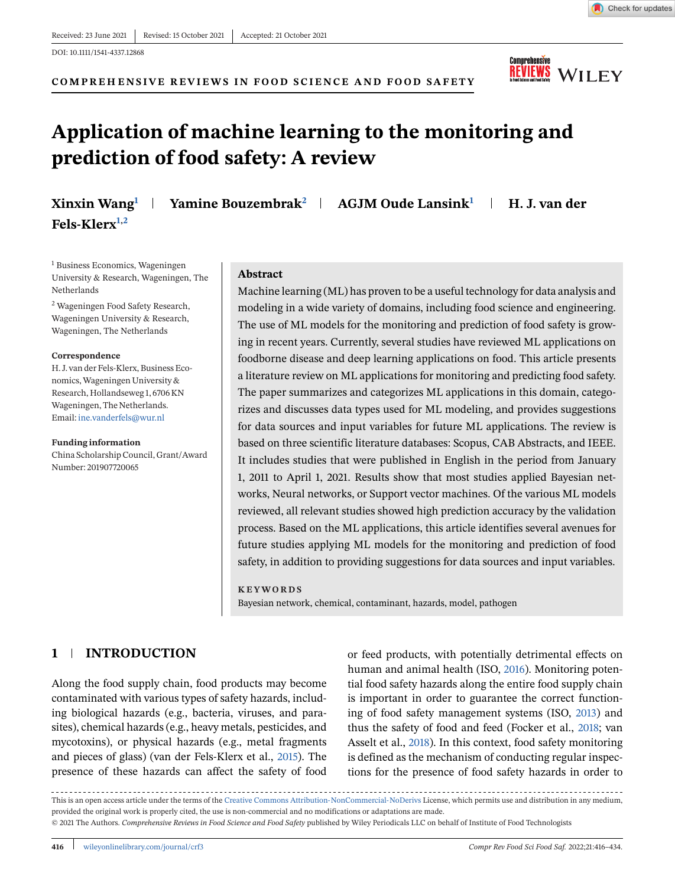**COMPREHENSIVE REVIEWS IN FOOD SCIENCE AND FOOD SAFETY**

# **Application of machine learning to the monitoring and prediction of food safety: A review**

**Xinxin Wang<sup>1</sup> Yamine Bouzembrak<sup>2</sup> AGJM Oude Lansink<sup>1</sup> H. J. van der**

<sup>1</sup> Business Economics, Wageningen University & Research, Wageningen, The Netherlands

<sup>2</sup> Wageningen Food Safety Research, Wageningen University & Research, Wageningen, The Netherlands

#### **Correspondence**

**Fels-Klerx1,2**

H. J. van der Fels-Klerx, Business Economics,Wageningen University & Research, Hollandseweg 1, 6706 KN Wageningen, The Netherlands. Email: [ine.vanderfels@wur.nl](mailto:ine.vanderfels@wur.nl)

#### **Funding information**

China Scholarship Council, Grant/Award Number: 201907720065

#### **Abstract**

Machine learning (ML) has proven to be a useful technology for data analysis and modeling in a wide variety of domains, including food science and engineering. The use of ML models for the monitoring and prediction of food safety is growing in recent years. Currently, several studies have reviewed ML applications on foodborne disease and deep learning applications on food. This article presents a literature review on ML applications for monitoring and predicting food safety. The paper summarizes and categorizes ML applications in this domain, categorizes and discusses data types used for ML modeling, and provides suggestions for data sources and input variables for future ML applications. The review is based on three scientific literature databases: Scopus, CAB Abstracts, and IEEE. It includes studies that were published in English in the period from January 1, 2011 to April 1, 2021. Results show that most studies applied Bayesian networks, Neural networks, or Support vector machines. Of the various ML models reviewed, all relevant studies showed high prediction accuracy by the validation process. Based on the ML applications, this article identifies several avenues for future studies applying ML models for the monitoring and prediction of food safety, in addition to providing suggestions for data sources and input variables.

#### **KEYWORDS**

Bayesian network, chemical, contaminant, hazards, model, pathogen

# **1 INTRODUCTION**

Along the food supply chain, food products may become contaminated with various types of safety hazards, including biological hazards (e.g., bacteria, viruses, and parasites), chemical hazards (e.g., heavy metals, pesticides, and mycotoxins), or physical hazards (e.g., metal fragments and pieces of glass) (van der Fels-Klerx et al., [2015\)](#page-17-0). The presence of these hazards can affect the safety of food or feed products, with potentially detrimental effects on human and animal health (ISO, [2016\)](#page-15-0). Monitoring potential food safety hazards along the entire food supply chain is important in order to guarantee the correct functioning of food safety management systems (ISO, [2013\)](#page-15-0) and thus the safety of food and feed (Focker et al., [2018;](#page-15-0) van Asselt et al., [2018\)](#page-17-0). In this context, food safety monitoring is defined as the mechanism of conducting regular inspections for the presence of food safety hazards in order to

This is an open access article under the terms of the [Creative Commons Attribution-NonCommercial-NoDerivs](http://creativecommons.org/licenses/by-nc-nd/4.0/) License, which permits use and distribution in any medium, provided the original work is properly cited, the use is non-commercial and no modifications or adaptations are made. © 2021 The Authors. *Comprehensive Reviews in Food Science and Food Safety* published by Wiley Periodicals LLC on behalf of Institute of Food Technologists



Check for updates

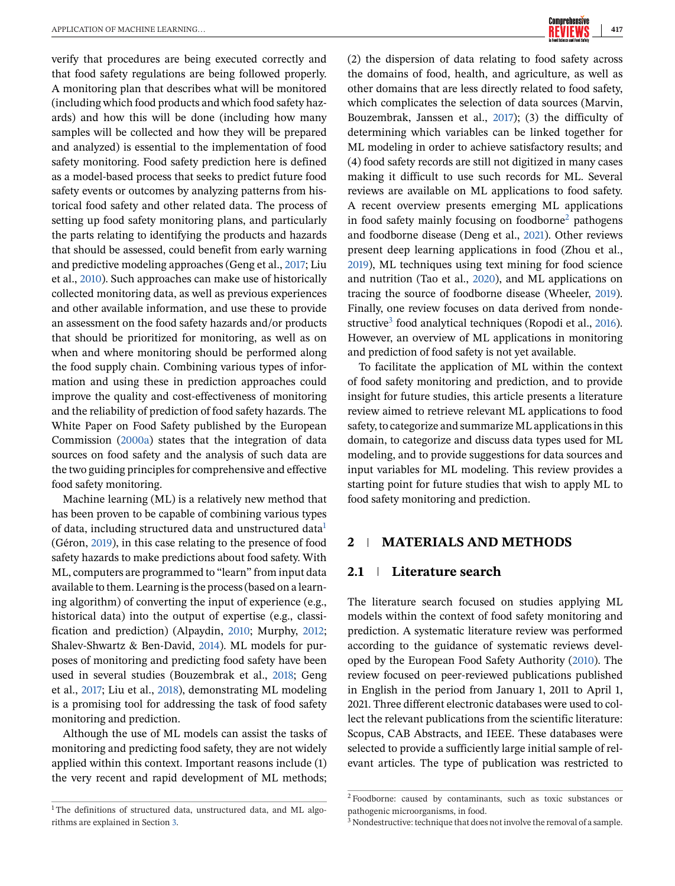verify that procedures are being executed correctly and that food safety regulations are being followed properly. A monitoring plan that describes what will be monitored (including which food products and which food safety hazards) and how this will be done (including how many samples will be collected and how they will be prepared and analyzed) is essential to the implementation of food safety monitoring. Food safety prediction here is defined as a model-based process that seeks to predict future food safety events or outcomes by analyzing patterns from historical food safety and other related data. The process of setting up food safety monitoring plans, and particularly the parts relating to identifying the products and hazards that should be assessed, could benefit from early warning and predictive modeling approaches (Geng et al., [2017;](#page-15-0) Liu et al., [2010\)](#page-16-0). Such approaches can make use of historically collected monitoring data, as well as previous experiences and other available information, and use these to provide an assessment on the food safety hazards and/or products that should be prioritized for monitoring, as well as on when and where monitoring should be performed along the food supply chain. Combining various types of information and using these in prediction approaches could improve the quality and cost-effectiveness of monitoring and the reliability of prediction of food safety hazards. The White Paper on Food Safety published by the European Commission [\(2000a\)](#page-15-0) states that the integration of data sources on food safety and the analysis of such data are the two guiding principles for comprehensive and effective food safety monitoring.

Machine learning (ML) is a relatively new method that has been proven to be capable of combining various types of data, including structured data and unstructured data<sup>1</sup> (Géron, [2019\)](#page-15-0), in this case relating to the presence of food safety hazards to make predictions about food safety. With ML, computers are programmed to "learn" from input data available to them. Learning is the process (based on a learning algorithm) of converting the input of experience (e.g., historical data) into the output of expertise (e.g., classification and prediction) (Alpaydin, [2010;](#page-14-0) Murphy, [2012;](#page-17-0) Shalev-Shwartz & Ben-David, [2014\)](#page-17-0). ML models for purposes of monitoring and predicting food safety have been used in several studies (Bouzembrak et al., [2018;](#page-15-0) Geng et al., [2017;](#page-15-0) Liu et al., [2018\)](#page-16-0), demonstrating ML modeling is a promising tool for addressing the task of food safety monitoring and prediction.

Although the use of ML models can assist the tasks of monitoring and predicting food safety, they are not widely applied within this context. Important reasons include (1) the very recent and rapid development of ML methods;

(2) the dispersion of data relating to food safety across the domains of food, health, and agriculture, as well as other domains that are less directly related to food safety, which complicates the selection of data sources (Marvin, Bouzembrak, Janssen et al., [2017\)](#page-16-0); (3) the difficulty of determining which variables can be linked together for ML modeling in order to achieve satisfactory results; and (4) food safety records are still not digitized in many cases making it difficult to use such records for ML. Several reviews are available on ML applications to food safety. A recent overview presents emerging ML applications in food safety mainly focusing on foodborne<sup>2</sup> pathogens and foodborne disease (Deng et al., [2021\)](#page-15-0). Other reviews present deep learning applications in food (Zhou et al., [2019\)](#page-18-0), ML techniques using text mining for food science and nutrition (Tao et al., [2020\)](#page-17-0), and ML applications on tracing the source of foodborne disease (Wheeler, [2019\)](#page-18-0). Finally, one review focuses on data derived from nonde-structive<sup>3</sup> food analytical techniques (Ropodi et al., [2016\)](#page-17-0). However, an overview of ML applications in monitoring and prediction of food safety is not yet available.

To facilitate the application of ML within the context of food safety monitoring and prediction, and to provide insight for future studies, this article presents a literature review aimed to retrieve relevant ML applications to food safety, to categorize and summarize ML applications in this domain, to categorize and discuss data types used for ML modeling, and to provide suggestions for data sources and input variables for ML modeling. This review provides a starting point for future studies that wish to apply ML to food safety monitoring and prediction.

# **2 MATERIALS AND METHODS**

# **2.1 Literature search**

The literature search focused on studies applying ML models within the context of food safety monitoring and prediction. A systematic literature review was performed according to the guidance of systematic reviews developed by the European Food Safety Authority [\(2010\)](#page-15-0). The review focused on peer-reviewed publications published in English in the period from January 1, 2011 to April 1, 2021. Three different electronic databases were used to collect the relevant publications from the scientific literature: Scopus, CAB Abstracts, and IEEE. These databases were selected to provide a sufficiently large initial sample of relevant articles. The type of publication was restricted to

 $1$ The definitions of structured data, unstructured data, and ML algorithms are explained in Section [3.](#page-2-0)

<sup>2</sup> Foodborne: caused by contaminants, such as toxic substances or pathogenic microorganisms, in food.

<sup>&</sup>lt;sup>3</sup> Nondestructive: technique that does not involve the removal of a sample.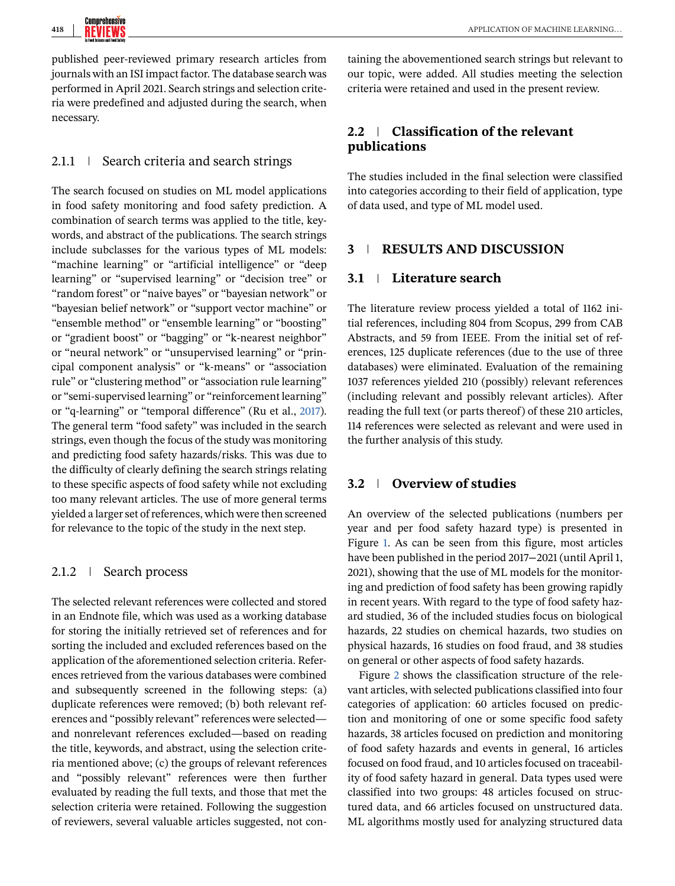<span id="page-2-0"></span>published peer-reviewed primary research articles from journals with an ISI impact factor. The database search was performed in April 2021. Search strings and selection criteria were predefined and adjusted during the search, when necessary.

# 2.1.1 Search criteria and search strings

The search focused on studies on ML model applications in food safety monitoring and food safety prediction. A combination of search terms was applied to the title, keywords, and abstract of the publications. The search strings include subclasses for the various types of ML models: "machine learning" or "artificial intelligence" or "deep learning" or "supervised learning" or "decision tree" or "random forest" or "naive bayes" or "bayesian network" or "bayesian belief network" or "support vector machine" or "ensemble method" or "ensemble learning" or "boosting" or "gradient boost" or "bagging" or "k-nearest neighbor" or "neural network" or "unsupervised learning" or "principal component analysis" or "k-means" or "association rule" or "clustering method" or "association rule learning" or "semi-supervised learning" or "reinforcement learning" or "q-learning" or "temporal difference" (Ru et al., [2017\)](#page-17-0). The general term "food safety" was included in the search strings, even though the focus of the study was monitoring and predicting food safety hazards/risks. This was due to the difficulty of clearly defining the search strings relating to these specific aspects of food safety while not excluding too many relevant articles. The use of more general terms yielded a larger set of references, which were then screened for relevance to the topic of the study in the next step.

# 2.1.2 Search process

The selected relevant references were collected and stored in an Endnote file, which was used as a working database for storing the initially retrieved set of references and for sorting the included and excluded references based on the application of the aforementioned selection criteria. References retrieved from the various databases were combined and subsequently screened in the following steps: (a) duplicate references were removed; (b) both relevant references and "possibly relevant" references were selected and nonrelevant references excluded—based on reading the title, keywords, and abstract, using the selection criteria mentioned above; (c) the groups of relevant references and "possibly relevant" references were then further evaluated by reading the full texts, and those that met the selection criteria were retained. Following the suggestion of reviewers, several valuable articles suggested, not con-

taining the abovementioned search strings but relevant to our topic, were added. All studies meeting the selection criteria were retained and used in the present review.

# **2.2 Classification of the relevant publications**

The studies included in the final selection were classified into categories according to their field of application, type of data used, and type of ML model used.

# **3 RESULTS AND DISCUSSION**

# **3.1 Literature search**

The literature review process yielded a total of 1162 initial references, including 804 from Scopus, 299 from CAB Abstracts, and 59 from IEEE. From the initial set of references, 125 duplicate references (due to the use of three databases) were eliminated. Evaluation of the remaining 1037 references yielded 210 (possibly) relevant references (including relevant and possibly relevant articles). After reading the full text (or parts thereof) of these 210 articles, 114 references were selected as relevant and were used in the further analysis of this study.

# **3.2 Overview of studies**

An overview of the selected publications (numbers per year and per food safety hazard type) is presented in Figure [1.](#page-3-0) As can be seen from this figure, most articles have been published in the period 2017−2021 (until April 1, 2021), showing that the use of ML models for the monitoring and prediction of food safety has been growing rapidly in recent years. With regard to the type of food safety hazard studied, 36 of the included studies focus on biological hazards, 22 studies on chemical hazards, two studies on physical hazards, 16 studies on food fraud, and 38 studies on general or other aspects of food safety hazards.

Figure [2](#page-3-0) shows the classification structure of the relevant articles, with selected publications classified into four categories of application: 60 articles focused on prediction and monitoring of one or some specific food safety hazards, 38 articles focused on prediction and monitoring of food safety hazards and events in general, 16 articles focused on food fraud, and 10 articles focused on traceability of food safety hazard in general. Data types used were classified into two groups: 48 articles focused on structured data, and 66 articles focused on unstructured data. ML algorithms mostly used for analyzing structured data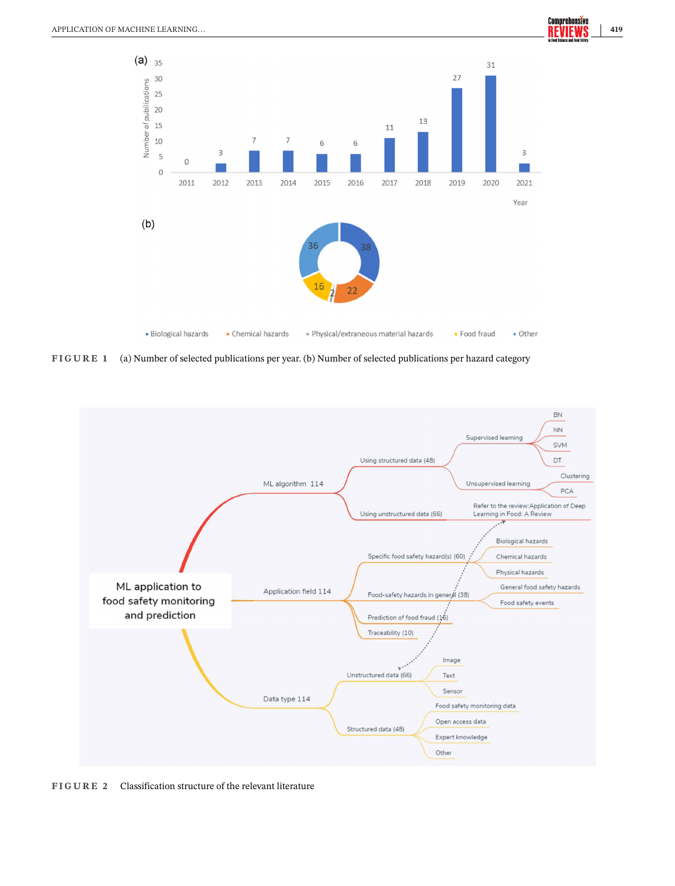<span id="page-3-0"></span>

**FIGURE 1** (a) Number of selected publications per year. (b) Number of selected publications per hazard category



**FIGURE 2** Classification structure of the relevant literature

Comprehensive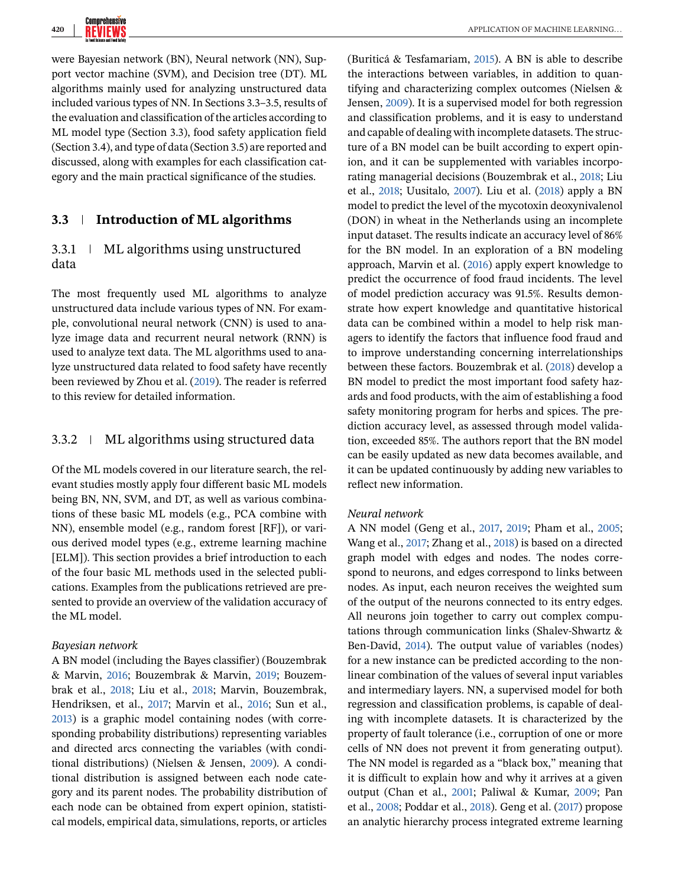

were Bayesian network (BN), Neural network (NN), Support vector machine (SVM), and Decision tree (DT). ML algorithms mainly used for analyzing unstructured data included various types of NN. In Sections 3.3–3.5, results of the evaluation and classification of the articles according to ML model type (Section 3.3), food safety application field (Section 3.4), and type of data (Section 3.5) are reported and discussed, along with examples for each classification category and the main practical significance of the studies.

# **3.3 Introduction of ML algorithms**

# 3.3.1 ML algorithms using unstructured data

The most frequently used ML algorithms to analyze unstructured data include various types of NN. For example, convolutional neural network (CNN) is used to analyze image data and recurrent neural network (RNN) is used to analyze text data. The ML algorithms used to analyze unstructured data related to food safety have recently been reviewed by Zhou et al. [\(2019\)](#page-18-0). The reader is referred to this review for detailed information.

## 3.3.2 ML algorithms using structured data

Of the ML models covered in our literature search, the relevant studies mostly apply four different basic ML models being BN, NN, SVM, and DT, as well as various combinations of these basic ML models (e.g., PCA combine with NN), ensemble model (e.g., random forest [RF]), or various derived model types (e.g., extreme learning machine [ELM]). This section provides a brief introduction to each of the four basic ML methods used in the selected publications. Examples from the publications retrieved are presented to provide an overview of the validation accuracy of the ML model.

#### *Bayesian network*

A BN model (including the Bayes classifier) (Bouzembrak & Marvin, [2016;](#page-15-0) Bouzembrak & Marvin, [2019;](#page-15-0) Bouzembrak et al., [2018;](#page-15-0) Liu et al., [2018;](#page-16-0) Marvin, Bouzembrak, Hendriksen, et al., [2017;](#page-16-0) Marvin et al., [2016;](#page-16-0) Sun et al., [2013\)](#page-17-0) is a graphic model containing nodes (with corresponding probability distributions) representing variables and directed arcs connecting the variables (with conditional distributions) (Nielsen & Jensen, [2009\)](#page-17-0). A conditional distribution is assigned between each node category and its parent nodes. The probability distribution of each node can be obtained from expert opinion, statistical models, empirical data, simulations, reports, or articles

(Buriticá & Tesfamariam, [2015\)](#page-15-0). A BN is able to describe the interactions between variables, in addition to quantifying and characterizing complex outcomes (Nielsen & Jensen, [2009\)](#page-17-0). It is a supervised model for both regression and classification problems, and it is easy to understand and capable of dealing with incomplete datasets. The structure of a BN model can be built according to expert opinion, and it can be supplemented with variables incorporating managerial decisions (Bouzembrak et al., [2018;](#page-15-0) Liu et al., [2018;](#page-16-0) Uusitalo, [2007\)](#page-17-0). Liu et al. [\(2018\)](#page-16-0) apply a BN model to predict the level of the mycotoxin deoxynivalenol (DON) in wheat in the Netherlands using an incomplete input dataset. The results indicate an accuracy level of 86% for the BN model. In an exploration of a BN modeling approach, Marvin et al. [\(2016\)](#page-16-0) apply expert knowledge to predict the occurrence of food fraud incidents. The level of model prediction accuracy was 91.5%. Results demonstrate how expert knowledge and quantitative historical data can be combined within a model to help risk managers to identify the factors that influence food fraud and to improve understanding concerning interrelationships between these factors. Bouzembrak et al. [\(2018\)](#page-15-0) develop a BN model to predict the most important food safety hazards and food products, with the aim of establishing a food safety monitoring program for herbs and spices. The prediction accuracy level, as assessed through model validation, exceeded 85%. The authors report that the BN model can be easily updated as new data becomes available, and it can be updated continuously by adding new variables to reflect new information.

#### *Neural network*

A NN model (Geng et al., [2017,](#page-15-0) [2019;](#page-15-0) Pham et al., [2005;](#page-17-0) Wang et al., [2017;](#page-18-0) Zhang et al., [2018\)](#page-18-0) is based on a directed graph model with edges and nodes. The nodes correspond to neurons, and edges correspond to links between nodes. As input, each neuron receives the weighted sum of the output of the neurons connected to its entry edges. All neurons join together to carry out complex computations through communication links (Shalev-Shwartz & Ben-David, [2014\)](#page-17-0). The output value of variables (nodes) for a new instance can be predicted according to the nonlinear combination of the values of several input variables and intermediary layers. NN, a supervised model for both regression and classification problems, is capable of dealing with incomplete datasets. It is characterized by the property of fault tolerance (i.e., corruption of one or more cells of NN does not prevent it from generating output). The NN model is regarded as a "black box," meaning that it is difficult to explain how and why it arrives at a given output (Chan et al., [2001;](#page-15-0) Paliwal & Kumar, [2009;](#page-17-0) Pan et al., [2008;](#page-17-0) Poddar et al., [2018\)](#page-17-0). Geng et al. [\(2017\)](#page-15-0) propose an analytic hierarchy process integrated extreme learning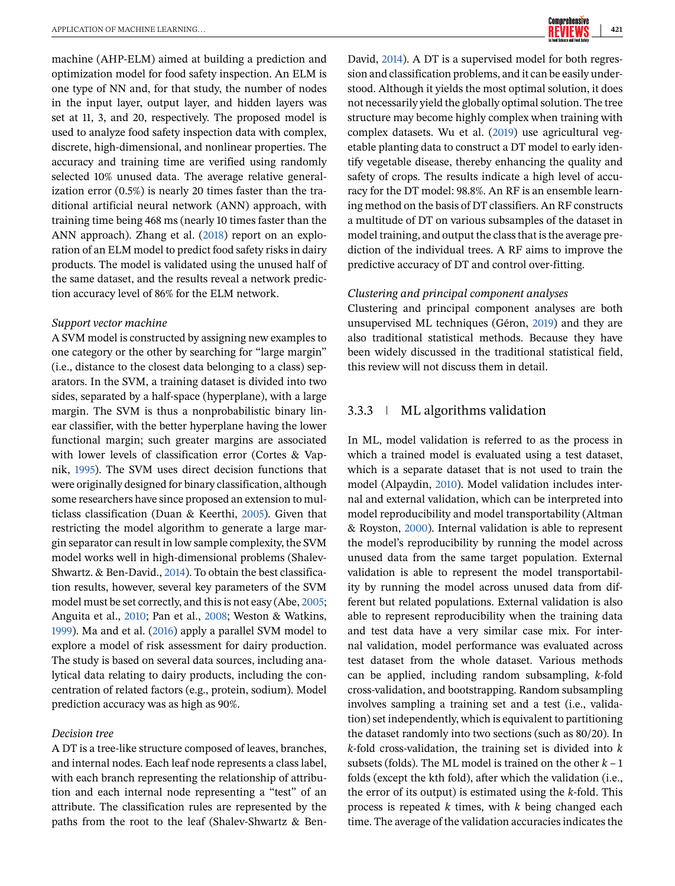machine (AHP-ELM) aimed at building a prediction and optimization model for food safety inspection. An ELM is one type of NN and, for that study, the number of nodes in the input layer, output layer, and hidden layers was set at 11, 3, and 20, respectively. The proposed model is used to analyze food safety inspection data with complex, discrete, high-dimensional, and nonlinear properties. The accuracy and training time are verified using randomly selected 10% unused data. The average relative generalization error (0.5%) is nearly 20 times faster than the traditional artificial neural network (ANN) approach, with training time being 468 ms (nearly 10 times faster than the ANN approach). Zhang et al. [\(2018\)](#page-18-0) report on an exploration of an ELM model to predict food safety risks in dairy products. The model is validated using the unused half of the same dataset, and the results reveal a network prediction accuracy level of 86% for the ELM network.

#### *Support vector machine*

A SVM model is constructed by assigning new examples to one category or the other by searching for "large margin" (i.e., distance to the closest data belonging to a class) separators. In the SVM, a training dataset is divided into two sides, separated by a half-space (hyperplane), with a large margin. The SVM is thus a nonprobabilistic binary linear classifier, with the better hyperplane having the lower functional margin; such greater margins are associated with lower levels of classification error (Cortes & Vapnik, [1995\)](#page-15-0). The SVM uses direct decision functions that were originally designed for binary classification, although some researchers have since proposed an extension to multiclass classification (Duan & Keerthi, [2005\)](#page-15-0). Given that restricting the model algorithm to generate a large margin separator can result in low sample complexity, the SVM model works well in high-dimensional problems (Shalev-Shwartz. & Ben-David., [2014\)](#page-17-0). To obtain the best classification results, however, several key parameters of the SVM model must be set correctly, and this is not easy (Abe, [2005;](#page-14-0) Anguita et al., [2010;](#page-14-0) Pan et al., [2008;](#page-17-0) Weston & Watkins, [1999\)](#page-18-0). Ma and et al. [\(2016\)](#page-16-0) apply a parallel SVM model to explore a model of risk assessment for dairy production. The study is based on several data sources, including analytical data relating to dairy products, including the concentration of related factors (e.g., protein, sodium). Model prediction accuracy was as high as 90%.

#### *Decision tree*

A DT is a tree-like structure composed of leaves, branches, and internal nodes. Each leaf node represents a class label, with each branch representing the relationship of attribution and each internal node representing a "test" of an attribute. The classification rules are represented by the paths from the root to the leaf (Shalev-Shwartz & BenDavid, [2014\)](#page-17-0). A DT is a supervised model for both regression and classification problems, and it can be easily understood. Although it yields the most optimal solution, it does not necessarily yield the globally optimal solution. The tree structure may become highly complex when training with complex datasets. Wu et al. [\(2019\)](#page-18-0) use agricultural vegetable planting data to construct a DT model to early identify vegetable disease, thereby enhancing the quality and safety of crops. The results indicate a high level of accuracy for the DT model: 98.8%. An RF is an ensemble learning method on the basis of DT classifiers. An RF constructs a multitude of DT on various subsamples of the dataset in model training, and output the class that is the average prediction of the individual trees. A RF aims to improve the predictive accuracy of DT and control over-fitting.

#### *Clustering and principal component analyses*

Clustering and principal component analyses are both unsupervised ML techniques (Géron, [2019\)](#page-15-0) and they are also traditional statistical methods. Because they have been widely discussed in the traditional statistical field, this review will not discuss them in detail.

# 3.3.3 ML algorithms validation

In ML, model validation is referred to as the process in which a trained model is evaluated using a test dataset, which is a separate dataset that is not used to train the model (Alpaydin, [2010\)](#page-14-0). Model validation includes internal and external validation, which can be interpreted into model reproducibility and model transportability (Altman & Royston, [2000\)](#page-14-0). Internal validation is able to represent the model's reproducibility by running the model across unused data from the same target population. External validation is able to represent the model transportability by running the model across unused data from different but related populations. External validation is also able to represent reproducibility when the training data and test data have a very similar case mix. For internal validation, model performance was evaluated across test dataset from the whole dataset. Various methods can be applied, including random subsampling, *k*-fold cross-validation, and bootstrapping. Random subsampling involves sampling a training set and a test (i.e., validation) set independently, which is equivalent to partitioning the dataset randomly into two sections (such as 80/20). In *k*-fold cross-validation, the training set is divided into *k* subsets (folds). The ML model is trained on the other  $k - 1$ folds (except the kth fold), after which the validation (i.e., the error of its output) is estimated using the *k*-fold. This process is repeated *k* times, with *k* being changed each time. The average of the validation accuracies indicates the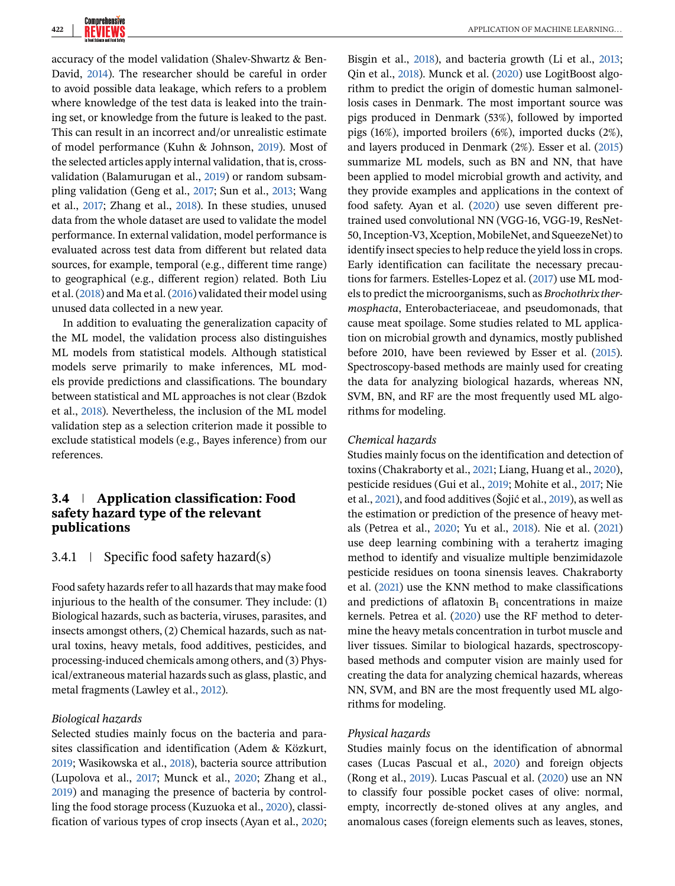accuracy of the model validation (Shalev-Shwartz & Ben-David, [2014\)](#page-17-0). The researcher should be careful in order to avoid possible data leakage, which refers to a problem where knowledge of the test data is leaked into the training set, or knowledge from the future is leaked to the past. This can result in an incorrect and/or unrealistic estimate of model performance (Kuhn & Johnson, [2019\)](#page-16-0). Most of the selected articles apply internal validation, that is, crossvalidation (Balamurugan et al., [2019\)](#page-14-0) or random subsampling validation (Geng et al., [2017;](#page-15-0) Sun et al., [2013;](#page-17-0) Wang et al., [2017;](#page-18-0) Zhang et al., [2018\)](#page-18-0). In these studies, unused data from the whole dataset are used to validate the model performance. In external validation, model performance is evaluated across test data from different but related data sources, for example, temporal (e.g., different time range) to geographical (e.g., different region) related. Both Liu et al. [\(2018\)](#page-16-0) and Ma et al. [\(2016\)](#page-16-0) validated their model using unused data collected in a new year.

In addition to evaluating the generalization capacity of the ML model, the validation process also distinguishes ML models from statistical models. Although statistical models serve primarily to make inferences, ML models provide predictions and classifications. The boundary between statistical and ML approaches is not clear (Bzdok et al., [2018\)](#page-15-0). Nevertheless, the inclusion of the ML model validation step as a selection criterion made it possible to exclude statistical models (e.g., Bayes inference) from our references.

# **3.4 Application classification: Food safety hazard type of the relevant publications**

# 3.4.1 Specific food safety hazard(s)

Food safety hazards refer to all hazards that may make food injurious to the health of the consumer. They include: (1) Biological hazards, such as bacteria, viruses, parasites, and insects amongst others, (2) Chemical hazards, such as natural toxins, heavy metals, food additives, pesticides, and processing-induced chemicals among others, and (3) Physical/extraneous material hazards such as glass, plastic, and metal fragments (Lawley et al., [2012\)](#page-16-0).

# *Biological hazards*

Selected studies mainly focus on the bacteria and parasites classification and identification (Adem & Közkurt, [2019;](#page-14-0) Wasikowska et al., [2018\)](#page-18-0), bacteria source attribution (Lupolova et al., [2017;](#page-16-0) Munck et al., [2020;](#page-17-0) Zhang et al., [2019\)](#page-18-0) and managing the presence of bacteria by controlling the food storage process (Kuzuoka et al., [2020\)](#page-16-0), classification of various types of crop insects (Ayan et al., [2020;](#page-14-0) Bisgin et al., [2018\)](#page-14-0), and bacteria growth (Li et al., [2013;](#page-16-0) Qin et al., [2018\)](#page-17-0). Munck et al. [\(2020\)](#page-17-0) use LogitBoost algorithm to predict the origin of domestic human salmonellosis cases in Denmark. The most important source was pigs produced in Denmark (53%), followed by imported pigs (16%), imported broilers (6%), imported ducks (2%), and layers produced in Denmark (2%). Esser et al. [\(2015\)](#page-15-0) summarize ML models, such as BN and NN, that have been applied to model microbial growth and activity, and they provide examples and applications in the context of food safety. Ayan et al. [\(2020\)](#page-14-0) use seven different pretrained used convolutional NN (VGG-16, VGG-19, ResNet-50, Inception-V3, Xception, MobileNet, and SqueezeNet) to identify insect species to help reduce the yield loss in crops. Early identification can facilitate the necessary precautions for farmers. Estelles-Lopez et al. [\(2017\)](#page-15-0) use ML models to predict the microorganisms, such as *Brochothrix thermosphacta*, Enterobacteriaceae, and pseudomonads, that cause meat spoilage. Some studies related to ML application on microbial growth and dynamics, mostly published before 2010, have been reviewed by Esser et al. [\(2015\)](#page-15-0). Spectroscopy-based methods are mainly used for creating the data for analyzing biological hazards, whereas NN, SVM, BN, and RF are the most frequently used ML algorithms for modeling.

#### *Chemical hazards*

Studies mainly focus on the identification and detection of toxins (Chakraborty et al., [2021;](#page-15-0) Liang, Huang et al., [2020\)](#page-16-0), pesticide residues (Gui et al., [2019;](#page-15-0) Mohite et al., [2017;](#page-16-0) Nie et al., [2021\)](#page-17-0), and food additives (Šojić et al., [2019\)](#page-17-0), as well as the estimation or prediction of the presence of heavy metals (Petrea et al., [2020;](#page-17-0) Yu et al., [2018\)](#page-18-0). Nie et al. [\(2021\)](#page-17-0) use deep learning combining with a terahertz imaging method to identify and visualize multiple benzimidazole pesticide residues on toona sinensis leaves. Chakraborty et al. [\(2021\)](#page-15-0) use the KNN method to make classifications and predictions of aflatoxin  $B_1$  concentrations in maize kernels. Petrea et al. [\(2020\)](#page-17-0) use the RF method to determine the heavy metals concentration in turbot muscle and liver tissues. Similar to biological hazards, spectroscopybased methods and computer vision are mainly used for creating the data for analyzing chemical hazards, whereas NN, SVM, and BN are the most frequently used ML algorithms for modeling.

#### *Physical hazards*

Studies mainly focus on the identification of abnormal cases (Lucas Pascual et al., [2020\)](#page-16-0) and foreign objects (Rong et al., [2019\)](#page-17-0). Lucas Pascual et al. [\(2020\)](#page-16-0) use an NN to classify four possible pocket cases of olive: normal, empty, incorrectly de-stoned olives at any angles, and anomalous cases (foreign elements such as leaves, stones,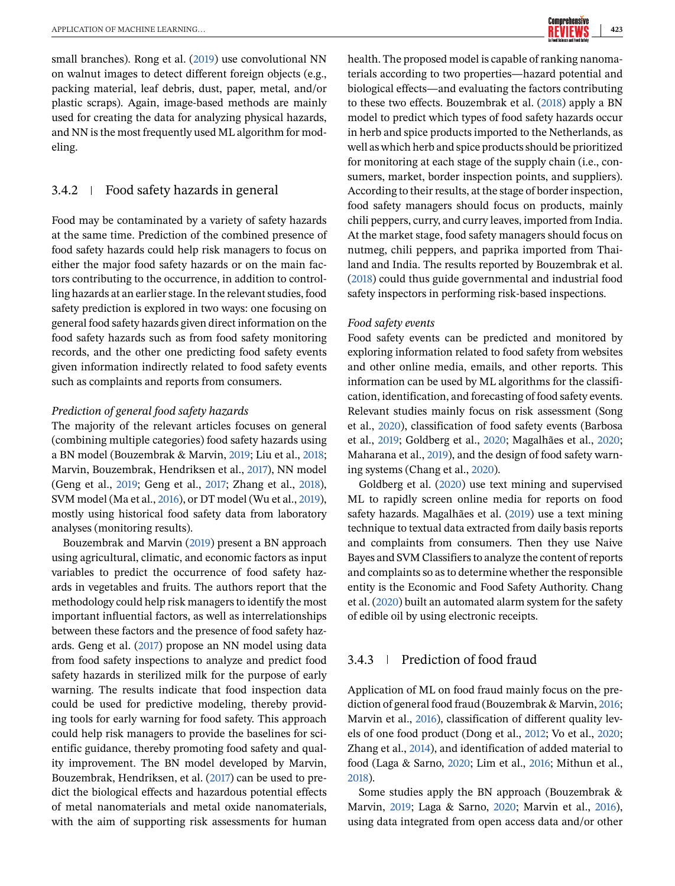small branches). Rong et al. [\(2019\)](#page-17-0) use convolutional NN on walnut images to detect different foreign objects (e.g., packing material, leaf debris, dust, paper, metal, and/or plastic scraps). Again, image-based methods are mainly used for creating the data for analyzing physical hazards, and NN is the most frequently used ML algorithm for modeling.

## 3.4.2 Food safety hazards in general

Food may be contaminated by a variety of safety hazards at the same time. Prediction of the combined presence of food safety hazards could help risk managers to focus on either the major food safety hazards or on the main factors contributing to the occurrence, in addition to controlling hazards at an earlier stage. In the relevant studies, food safety prediction is explored in two ways: one focusing on general food safety hazards given direct information on the food safety hazards such as from food safety monitoring records, and the other one predicting food safety events given information indirectly related to food safety events such as complaints and reports from consumers.

#### *Prediction of general food safety hazards*

The majority of the relevant articles focuses on general (combining multiple categories) food safety hazards using a BN model (Bouzembrak & Marvin, [2019;](#page-15-0) Liu et al., [2018;](#page-16-0) Marvin, Bouzembrak, Hendriksen et al., [2017\)](#page-16-0), NN model (Geng et al., [2019;](#page-15-0) Geng et al., [2017;](#page-15-0) Zhang et al., [2018\)](#page-18-0), SVM model (Ma et al., [2016\)](#page-16-0), or DT model (Wu et al., [2019\)](#page-18-0), mostly using historical food safety data from laboratory analyses (monitoring results).

Bouzembrak and Marvin [\(2019\)](#page-15-0) present a BN approach using agricultural, climatic, and economic factors as input variables to predict the occurrence of food safety hazards in vegetables and fruits. The authors report that the methodology could help risk managers to identify the most important influential factors, as well as interrelationships between these factors and the presence of food safety hazards. Geng et al. [\(2017\)](#page-15-0) propose an NN model using data from food safety inspections to analyze and predict food safety hazards in sterilized milk for the purpose of early warning. The results indicate that food inspection data could be used for predictive modeling, thereby providing tools for early warning for food safety. This approach could help risk managers to provide the baselines for scientific guidance, thereby promoting food safety and quality improvement. The BN model developed by Marvin, Bouzembrak, Hendriksen, et al. [\(2017\)](#page-16-0) can be used to predict the biological effects and hazardous potential effects of metal nanomaterials and metal oxide nanomaterials, with the aim of supporting risk assessments for human

health. The proposed model is capable of ranking nanomaterials according to two properties—hazard potential and biological effects—and evaluating the factors contributing to these two effects. Bouzembrak et al. [\(2018\)](#page-15-0) apply a BN model to predict which types of food safety hazards occur in herb and spice products imported to the Netherlands, as well as which herb and spice products should be prioritized for monitoring at each stage of the supply chain (i.e., consumers, market, border inspection points, and suppliers). According to their results, at the stage of border inspection, food safety managers should focus on products, mainly chili peppers, curry, and curry leaves, imported from India. At the market stage, food safety managers should focus on nutmeg, chili peppers, and paprika imported from Thailand and India. The results reported by Bouzembrak et al. [\(2018\)](#page-15-0) could thus guide governmental and industrial food safety inspectors in performing risk-based inspections.

#### *Food safety events*

Food safety events can be predicted and monitored by exploring information related to food safety from websites and other online media, emails, and other reports. This information can be used by ML algorithms for the classification, identification, and forecasting of food safety events. Relevant studies mainly focus on risk assessment (Song et al., [2020\)](#page-17-0), classification of food safety events (Barbosa et al., [2019;](#page-14-0) Goldberg et al., [2020;](#page-15-0) Magalhães et al., [2020;](#page-16-0) Maharana et al., [2019\)](#page-16-0), and the design of food safety warning systems (Chang et al., [2020\)](#page-15-0).

Goldberg et al. [\(2020\)](#page-15-0) use text mining and supervised ML to rapidly screen online media for reports on food safety hazards. Magalhães et al. [\(2019\)](#page-16-0) use a text mining technique to textual data extracted from daily basis reports and complaints from consumers. Then they use Naive Bayes and SVM Classifiers to analyze the content of reports and complaints so as to determine whether the responsible entity is the Economic and Food Safety Authority. Chang et al. [\(2020\)](#page-15-0) built an automated alarm system for the safety of edible oil by using electronic receipts.

# 3.4.3 Prediction of food fraud

Application of ML on food fraud mainly focus on the prediction of general food fraud (Bouzembrak & Marvin, [2016;](#page-15-0) Marvin et al., [2016\)](#page-16-0), classification of different quality levels of one food product (Dong et al., [2012;](#page-15-0) Vo et al., [2020;](#page-18-0) Zhang et al., [2014\)](#page-18-0), and identification of added material to food (Laga & Sarno, [2020;](#page-16-0) Lim et al., [2016;](#page-16-0) Mithun et al., [2018\)](#page-16-0).

Some studies apply the BN approach (Bouzembrak & Marvin, [2019;](#page-15-0) Laga & Sarno, [2020;](#page-16-0) Marvin et al., [2016\)](#page-16-0), using data integrated from open access data and/or other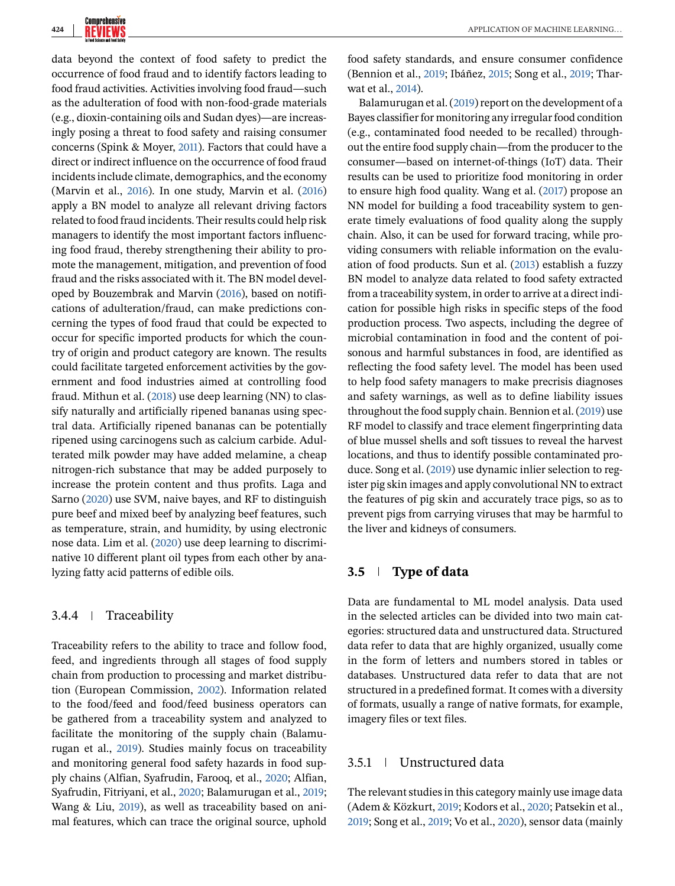data beyond the context of food safety to predict the occurrence of food fraud and to identify factors leading to food fraud activities. Activities involving food fraud—such as the adulteration of food with non-food-grade materials (e.g., dioxin-containing oils and Sudan dyes)—are increasingly posing a threat to food safety and raising consumer concerns (Spink & Moyer, [2011\)](#page-17-0). Factors that could have a direct or indirect influence on the occurrence of food fraud incidents include climate, demographics, and the economy (Marvin et al., [2016\)](#page-16-0). In one study, Marvin et al. [\(2016\)](#page-16-0) apply a BN model to analyze all relevant driving factors related to food fraud incidents. Their results could help risk managers to identify the most important factors influencing food fraud, thereby strengthening their ability to promote the management, mitigation, and prevention of food fraud and the risks associated with it. The BN model developed by Bouzembrak and Marvin [\(2016\)](#page-15-0), based on notifications of adulteration/fraud, can make predictions concerning the types of food fraud that could be expected to occur for specific imported products for which the country of origin and product category are known. The results could facilitate targeted enforcement activities by the government and food industries aimed at controlling food fraud. Mithun et al. [\(2018\)](#page-16-0) use deep learning (NN) to classify naturally and artificially ripened bananas using spectral data. Artificially ripened bananas can be potentially ripened using carcinogens such as calcium carbide. Adulterated milk powder may have added melamine, a cheap nitrogen-rich substance that may be added purposely to increase the protein content and thus profits. Laga and Sarno [\(2020\)](#page-16-0) use SVM, naive bayes, and RF to distinguish pure beef and mixed beef by analyzing beef features, such as temperature, strain, and humidity, by using electronic nose data. Lim et al. [\(2020\)](#page-16-0) use deep learning to discriminative 10 different plant oil types from each other by analyzing fatty acid patterns of edible oils.

# 3.4.4 Traceability

Traceability refers to the ability to trace and follow food, feed, and ingredients through all stages of food supply chain from production to processing and market distribution (European Commission, [2002\)](#page-15-0). Information related to the food/feed and food/feed business operators can be gathered from a traceability system and analyzed to facilitate the monitoring of the supply chain (Balamurugan et al., [2019\)](#page-14-0). Studies mainly focus on traceability and monitoring general food safety hazards in food supply chains (Alfian, Syafrudin, Farooq, et al., [2020;](#page-14-0) Alfian, Syafrudin, Fitriyani, et al., [2020;](#page-14-0) Balamurugan et al., [2019;](#page-14-0) Wang & Liu, [2019\)](#page-18-0), as well as traceability based on animal features, which can trace the original source, uphold

food safety standards, and ensure consumer confidence (Bennion et al., [2019;](#page-14-0) Ibáñez, [2015;](#page-15-0) Song et al., [2019;](#page-17-0) Tharwat et al., [2014\)](#page-17-0).

Balamurugan et al. [\(2019\)](#page-14-0) report on the development of a Bayes classifier for monitoring any irregular food condition (e.g., contaminated food needed to be recalled) throughout the entire food supply chain—from the producer to the consumer—based on internet-of-things (IoT) data. Their results can be used to prioritize food monitoring in order to ensure high food quality. Wang et al. [\(2017\)](#page-18-0) propose an NN model for building a food traceability system to generate timely evaluations of food quality along the supply chain. Also, it can be used for forward tracing, while providing consumers with reliable information on the evaluation of food products. Sun et al. [\(2013\)](#page-17-0) establish a fuzzy BN model to analyze data related to food safety extracted from a traceability system, in order to arrive at a direct indication for possible high risks in specific steps of the food production process. Two aspects, including the degree of microbial contamination in food and the content of poisonous and harmful substances in food, are identified as reflecting the food safety level. The model has been used to help food safety managers to make precrisis diagnoses and safety warnings, as well as to define liability issues throughout the food supply chain. Bennion et al. [\(2019\)](#page-14-0) use RF model to classify and trace element fingerprinting data of blue mussel shells and soft tissues to reveal the harvest locations, and thus to identify possible contaminated produce. Song et al. [\(2019\)](#page-17-0) use dynamic inlier selection to register pig skin images and apply convolutional NN to extract the features of pig skin and accurately trace pigs, so as to prevent pigs from carrying viruses that may be harmful to the liver and kidneys of consumers.

# **3.5 Type of data**

Data are fundamental to ML model analysis. Data used in the selected articles can be divided into two main categories: structured data and unstructured data. Structured data refer to data that are highly organized, usually come in the form of letters and numbers stored in tables or databases. Unstructured data refer to data that are not structured in a predefined format. It comes with a diversity of formats, usually a range of native formats, for example, imagery files or text files.

# 3.5.1 Unstructured data

The relevant studies in this category mainly use image data (Adem & Közkurt, [2019;](#page-14-0) Kodors et al., [2020;](#page-16-0) Patsekin et al., [2019;](#page-17-0) Song et al., [2019;](#page-17-0) Vo et al., [2020\)](#page-18-0), sensor data (mainly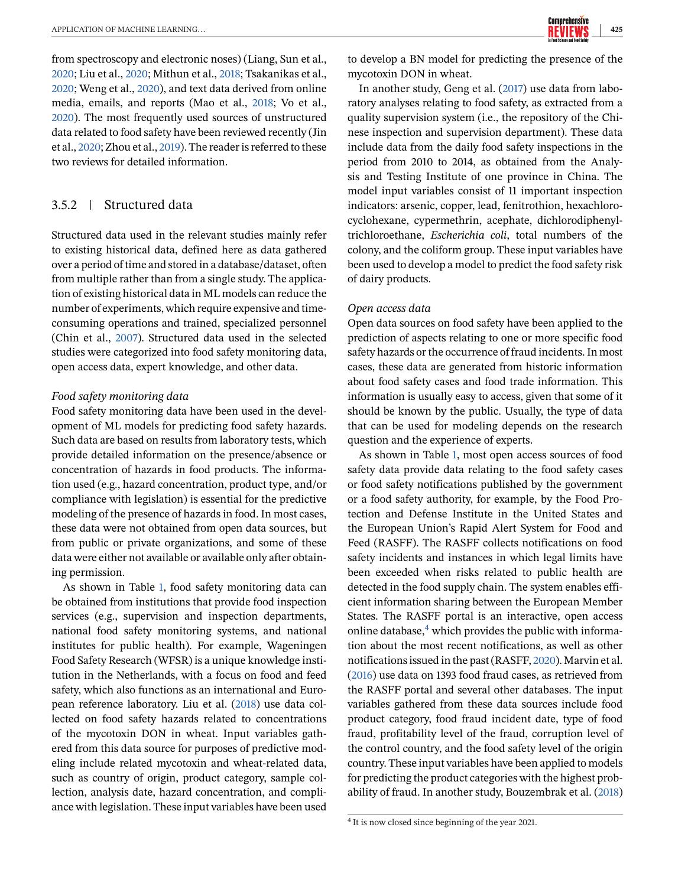from spectroscopy and electronic noses) (Liang, Sun et al., [2020;](#page-16-0) Liu et al., [2020;](#page-16-0) Mithun et al., [2018;](#page-16-0) Tsakanikas et al., [2020;](#page-17-0) Weng et al., [2020\)](#page-18-0), and text data derived from online media, emails, and reports (Mao et al., [2018;](#page-16-0) Vo et al., [2020\)](#page-18-0). The most frequently used sources of unstructured data related to food safety have been reviewed recently (Jin et al., [2020;](#page-15-0) Zhou et al., [2019\)](#page-18-0). The reader is referred to these two reviews for detailed information.

# 3.5.2 Structured data

Structured data used in the relevant studies mainly refer to existing historical data, defined here as data gathered over a period of time and stored in a database/dataset, often from multiple rather than from a single study. The application of existing historical data in ML models can reduce the number of experiments, which require expensive and timeconsuming operations and trained, specialized personnel (Chin et al., [2007\)](#page-15-0). Structured data used in the selected studies were categorized into food safety monitoring data, open access data, expert knowledge, and other data.

#### *Food safety monitoring data*

Food safety monitoring data have been used in the development of ML models for predicting food safety hazards. Such data are based on results from laboratory tests, which provide detailed information on the presence/absence or concentration of hazards in food products. The information used (e.g., hazard concentration, product type, and/or compliance with legislation) is essential for the predictive modeling of the presence of hazards in food. In most cases, these data were not obtained from open data sources, but from public or private organizations, and some of these data were either not available or available only after obtaining permission.

As shown in Table [1,](#page-10-0) food safety monitoring data can be obtained from institutions that provide food inspection services (e.g., supervision and inspection departments, national food safety monitoring systems, and national institutes for public health). For example, Wageningen Food Safety Research (WFSR) is a unique knowledge institution in the Netherlands, with a focus on food and feed safety, which also functions as an international and European reference laboratory. Liu et al. [\(2018\)](#page-16-0) use data collected on food safety hazards related to concentrations of the mycotoxin DON in wheat. Input variables gathered from this data source for purposes of predictive modeling include related mycotoxin and wheat-related data, such as country of origin, product category, sample collection, analysis date, hazard concentration, and compliance with legislation. These input variables have been used

to develop a BN model for predicting the presence of the mycotoxin DON in wheat.

In another study, Geng et al. [\(2017\)](#page-15-0) use data from laboratory analyses relating to food safety, as extracted from a quality supervision system (i.e., the repository of the Chinese inspection and supervision department). These data include data from the daily food safety inspections in the period from 2010 to 2014, as obtained from the Analysis and Testing Institute of one province in China. The model input variables consist of 11 important inspection indicators: arsenic, copper, lead, fenitrothion, hexachlorocyclohexane, cypermethrin, acephate, dichlorodiphenyltrichloroethane, *Escherichia coli*, total numbers of the colony, and the coliform group. These input variables have been used to develop a model to predict the food safety risk of dairy products.

#### *Open access data*

Open data sources on food safety have been applied to the prediction of aspects relating to one or more specific food safety hazards or the occurrence of fraud incidents. In most cases, these data are generated from historic information about food safety cases and food trade information. This information is usually easy to access, given that some of it should be known by the public. Usually, the type of data that can be used for modeling depends on the research question and the experience of experts.

As shown in Table [1,](#page-10-0) most open access sources of food safety data provide data relating to the food safety cases or food safety notifications published by the government or a food safety authority, for example, by the Food Protection and Defense Institute in the United States and the European Union's Rapid Alert System for Food and Feed (RASFF). The RASFF collects notifications on food safety incidents and instances in which legal limits have been exceeded when risks related to public health are detected in the food supply chain. The system enables efficient information sharing between the European Member States. The RASFF portal is an interactive, open access online database, $4\overline{ }$  which provides the public with information about the most recent notifications, as well as other notifications issued in the past (RASFF, [2020\)](#page-17-0). Marvin et al. [\(2016\)](#page-16-0) use data on 1393 food fraud cases, as retrieved from the RASFF portal and several other databases. The input variables gathered from these data sources include food product category, food fraud incident date, type of food fraud, profitability level of the fraud, corruption level of the control country, and the food safety level of the origin country. These input variables have been applied to models for predicting the product categories with the highest probability of fraud. In another study, Bouzembrak et al. [\(2018\)](#page-15-0)

<sup>4</sup> It is now closed since beginning of the year 2021.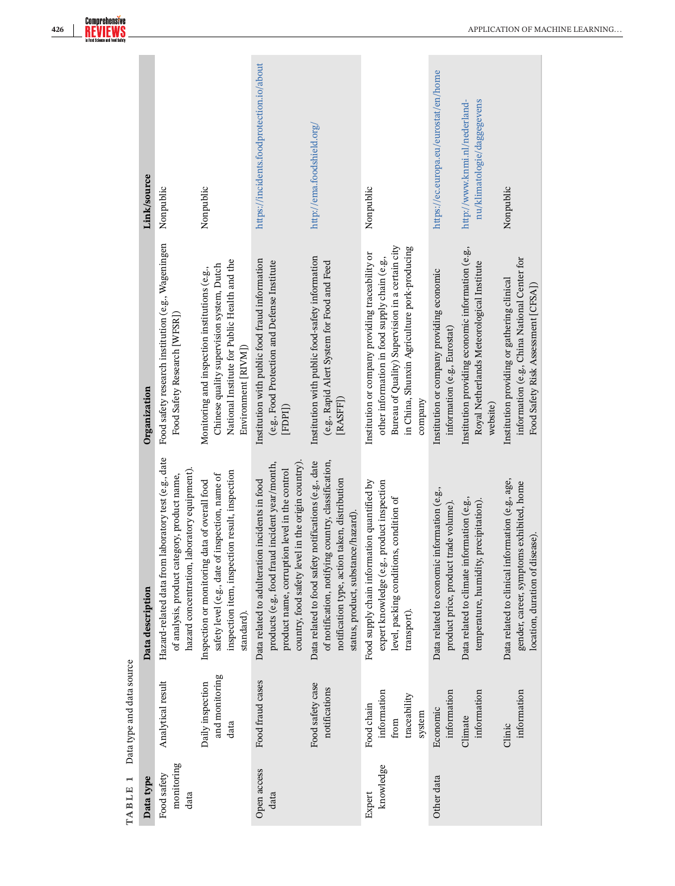<span id="page-10-0"></span>

|                           | Link/source      | Nonpublic                                                                                                                                            | Nonpublic                                                                                                                                                         | https://incidents.foodprotection.io/about                                                                                                                                                                | http://ema.foodshield.org/                                                                                                                                                                           | Nonpublic                                                                                                                                                                                                        | https://ec.europa.eu/eurostat/en/home                                                | nu/klimatologie/daggegevens<br>http://www.knmi.nl/nederland-                                                | Nonpublic                                                                                                                          |
|---------------------------|------------------|------------------------------------------------------------------------------------------------------------------------------------------------------|-------------------------------------------------------------------------------------------------------------------------------------------------------------------|----------------------------------------------------------------------------------------------------------------------------------------------------------------------------------------------------------|------------------------------------------------------------------------------------------------------------------------------------------------------------------------------------------------------|------------------------------------------------------------------------------------------------------------------------------------------------------------------------------------------------------------------|--------------------------------------------------------------------------------------|-------------------------------------------------------------------------------------------------------------|------------------------------------------------------------------------------------------------------------------------------------|
|                           | Organization     | Food safety research institution (e.g., Wageningen<br>Food Safety Research [WFSR])                                                                   | National Institute for Public Health and the<br>Chinese quality supervision system, Dutch<br>Monitoring and inspection institutions (e.g.,<br>Environment [RIVM]) | Institution with public food fraud information<br>(e.g., Food Protection and Defense Institute<br>[FDPI]                                                                                                 | Institution with public food-safety information<br>(e.g., Rapid Alert System for Food and Feed<br>[RASFF]                                                                                            | Bureau of Quality) Supervision in a certain city<br>in China, Shunxin Agriculture pork-producing<br>Institution or company providing traceability or<br>other information in food supply chain (e.g.,<br>company | Institution or company providing economic<br>information (e.g., Eurostat)            | Institution providing economic information (e.g.,<br>Royal Netherlands Meteorological Institute<br>website) | information (e.g., China National Center for<br>Institution providing or gathering clinical<br>Food Safety Risk Assessment [CFSA]) |
| Data type and data source | Data description | Hazard-related data from laboratory test (e.g., date<br>hazard concentration, laboratory equipment).<br>of analysis, product category, product name, | inspection item, inspection result, inspection<br>safety level (e.g., date of inspection, name of<br>Inspection or monitoring data of overall food<br>standard).  | country, food safety level in the origin country).<br>products (e.g., food fraud incident year/month,<br>product name, corruption level in the control<br>Data related to adulteration incidents in food | Data related to food safety notifications (e.g., date<br>of notification, notifying country, classification,<br>notification type, action taken, distribution<br>status, product, substance/hazard). | Food supply chain information quantified by<br>expert knowledge (e.g., product inspection<br>level, packing conditions, condition of<br>transport).                                                              | Data related to economic information (e.g.,<br>product price, product trade volume). | Data related to climate information (e.g.,<br>temperature, humidity, precipitation).                        | Data related to clinical information (e.g., age,<br>gender, career, symptoms exhibited, home<br>location, duration of disease).    |
|                           |                  | Analytical result                                                                                                                                    | and monitoring<br>Daily inspection<br>data                                                                                                                        | Food fraud cases                                                                                                                                                                                         | Food safety case<br>notifications                                                                                                                                                                    | information<br>traceability<br>Food chain<br>system<br>from                                                                                                                                                      | information<br>Economic                                                              | information<br>Climate                                                                                      | information<br>Clinic                                                                                                              |
| TABLE 1                   | Data type        | monitoring<br>Food safety<br>data                                                                                                                    |                                                                                                                                                                   | Open access<br>data                                                                                                                                                                                      |                                                                                                                                                                                                      | knowledge<br>Other data<br>Expert                                                                                                                                                                                |                                                                                      |                                                                                                             |                                                                                                                                    |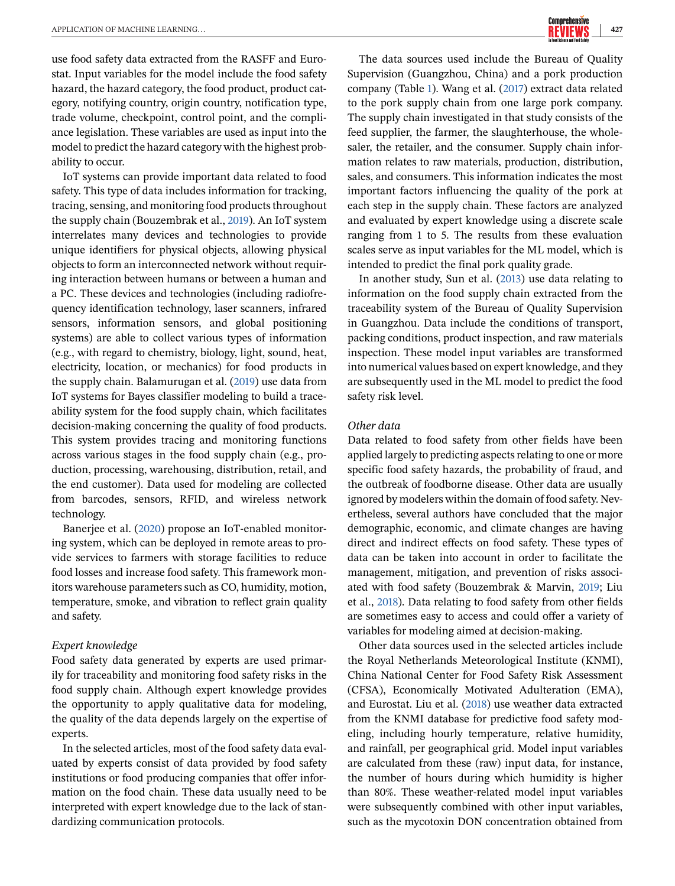use food safety data extracted from the RASFF and Eurostat. Input variables for the model include the food safety hazard, the hazard category, the food product, product category, notifying country, origin country, notification type, trade volume, checkpoint, control point, and the compliance legislation. These variables are used as input into the model to predict the hazard category with the highest probability to occur.

IoT systems can provide important data related to food safety. This type of data includes information for tracking, tracing, sensing, and monitoring food products throughout the supply chain (Bouzembrak et al., [2019\)](#page-15-0). An IoT system interrelates many devices and technologies to provide unique identifiers for physical objects, allowing physical objects to form an interconnected network without requiring interaction between humans or between a human and a PC. These devices and technologies (including radiofrequency identification technology, laser scanners, infrared sensors, information sensors, and global positioning systems) are able to collect various types of information (e.g., with regard to chemistry, biology, light, sound, heat, electricity, location, or mechanics) for food products in the supply chain. Balamurugan et al. [\(2019\)](#page-14-0) use data from IoT systems for Bayes classifier modeling to build a traceability system for the food supply chain, which facilitates decision-making concerning the quality of food products. This system provides tracing and monitoring functions across various stages in the food supply chain (e.g., production, processing, warehousing, distribution, retail, and the end customer). Data used for modeling are collected from barcodes, sensors, RFID, and wireless network technology.

Banerjee et al. [\(2020\)](#page-14-0) propose an IoT-enabled monitoring system, which can be deployed in remote areas to provide services to farmers with storage facilities to reduce food losses and increase food safety. This framework monitors warehouse parameters such as CO, humidity, motion, temperature, smoke, and vibration to reflect grain quality and safety.

#### *Expert knowledge*

Food safety data generated by experts are used primarily for traceability and monitoring food safety risks in the food supply chain. Although expert knowledge provides the opportunity to apply qualitative data for modeling, the quality of the data depends largely on the expertise of experts.

In the selected articles, most of the food safety data evaluated by experts consist of data provided by food safety institutions or food producing companies that offer information on the food chain. These data usually need to be interpreted with expert knowledge due to the lack of standardizing communication protocols.

The data sources used include the Bureau of Quality Supervision (Guangzhou, China) and a pork production company (Table [1\)](#page-10-0). Wang et al. [\(2017\)](#page-18-0) extract data related to the pork supply chain from one large pork company. The supply chain investigated in that study consists of the feed supplier, the farmer, the slaughterhouse, the wholesaler, the retailer, and the consumer. Supply chain information relates to raw materials, production, distribution, sales, and consumers. This information indicates the most important factors influencing the quality of the pork at each step in the supply chain. These factors are analyzed and evaluated by expert knowledge using a discrete scale ranging from 1 to 5. The results from these evaluation scales serve as input variables for the ML model, which is intended to predict the final pork quality grade.

In another study, Sun et al. [\(2013\)](#page-17-0) use data relating to information on the food supply chain extracted from the traceability system of the Bureau of Quality Supervision in Guangzhou. Data include the conditions of transport, packing conditions, product inspection, and raw materials inspection. These model input variables are transformed into numerical values based on expert knowledge, and they are subsequently used in the ML model to predict the food safety risk level.

#### *Other data*

Data related to food safety from other fields have been applied largely to predicting aspects relating to one or more specific food safety hazards, the probability of fraud, and the outbreak of foodborne disease. Other data are usually ignored by modelers within the domain of food safety. Nevertheless, several authors have concluded that the major demographic, economic, and climate changes are having direct and indirect effects on food safety. These types of data can be taken into account in order to facilitate the management, mitigation, and prevention of risks associated with food safety (Bouzembrak & Marvin, [2019;](#page-15-0) Liu et al., [2018\)](#page-16-0). Data relating to food safety from other fields are sometimes easy to access and could offer a variety of variables for modeling aimed at decision-making.

Other data sources used in the selected articles include the Royal Netherlands Meteorological Institute (KNMI), China National Center for Food Safety Risk Assessment (CFSA), Economically Motivated Adulteration (EMA), and Eurostat. Liu et al. [\(2018\)](#page-16-0) use weather data extracted from the KNMI database for predictive food safety modeling, including hourly temperature, relative humidity, and rainfall, per geographical grid. Model input variables are calculated from these (raw) input data, for instance, the number of hours during which humidity is higher than 80%. These weather-related model input variables were subsequently combined with other input variables, such as the mycotoxin DON concentration obtained from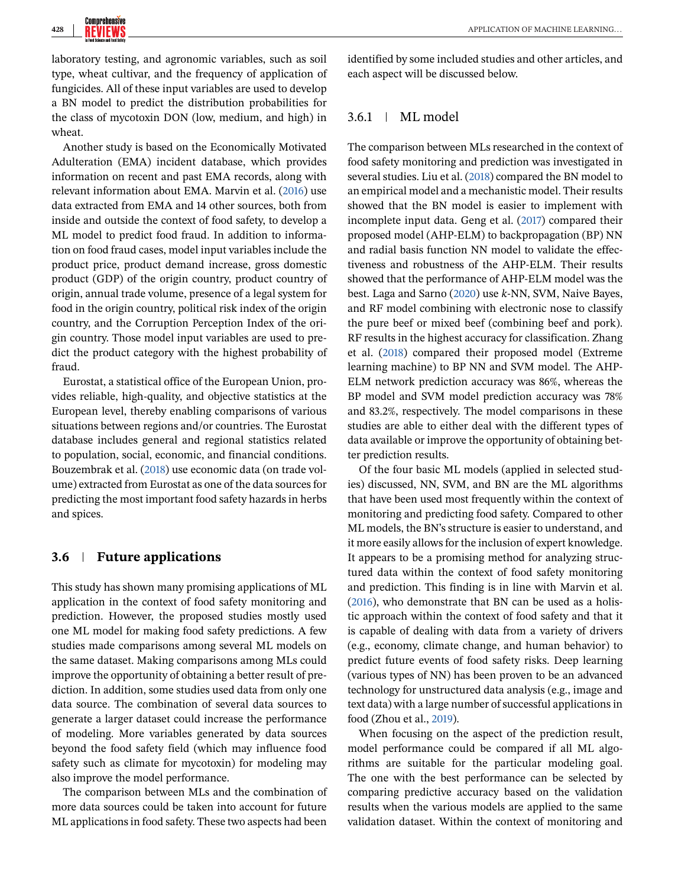laboratory testing, and agronomic variables, such as soil type, wheat cultivar, and the frequency of application of fungicides. All of these input variables are used to develop a BN model to predict the distribution probabilities for the class of mycotoxin DON (low, medium, and high) in wheat.

Another study is based on the Economically Motivated Adulteration (EMA) incident database, which provides information on recent and past EMA records, along with relevant information about EMA. Marvin et al. [\(2016\)](#page-16-0) use data extracted from EMA and 14 other sources, both from inside and outside the context of food safety, to develop a ML model to predict food fraud. In addition to information on food fraud cases, model input variables include the product price, product demand increase, gross domestic product (GDP) of the origin country, product country of origin, annual trade volume, presence of a legal system for food in the origin country, political risk index of the origin country, and the Corruption Perception Index of the origin country. Those model input variables are used to predict the product category with the highest probability of fraud.

Eurostat, a statistical office of the European Union, provides reliable, high-quality, and objective statistics at the European level, thereby enabling comparisons of various situations between regions and/or countries. The Eurostat database includes general and regional statistics related to population, social, economic, and financial conditions. Bouzembrak et al. [\(2018\)](#page-15-0) use economic data (on trade volume) extracted from Eurostat as one of the data sources for predicting the most important food safety hazards in herbs and spices.

# **3.6 Future applications**

This study has shown many promising applications of ML application in the context of food safety monitoring and prediction. However, the proposed studies mostly used one ML model for making food safety predictions. A few studies made comparisons among several ML models on the same dataset. Making comparisons among MLs could improve the opportunity of obtaining a better result of prediction. In addition, some studies used data from only one data source. The combination of several data sources to generate a larger dataset could increase the performance of modeling. More variables generated by data sources beyond the food safety field (which may influence food safety such as climate for mycotoxin) for modeling may also improve the model performance.

The comparison between MLs and the combination of more data sources could be taken into account for future ML applications in food safety. These two aspects had been

identified by some included studies and other articles, and each aspect will be discussed below.

# 3.6.1 ML model

The comparison between MLs researched in the context of food safety monitoring and prediction was investigated in several studies. Liu et al. [\(2018\)](#page-16-0) compared the BN model to an empirical model and a mechanistic model. Their results showed that the BN model is easier to implement with incomplete input data. Geng et al. [\(2017\)](#page-15-0) compared their proposed model (AHP-ELM) to backpropagation (BP) NN and radial basis function NN model to validate the effectiveness and robustness of the AHP-ELM. Their results showed that the performance of AHP-ELM model was the best. Laga and Sarno [\(2020\)](#page-16-0) use *k*-NN, SVM, Naive Bayes, and RF model combining with electronic nose to classify the pure beef or mixed beef (combining beef and pork). RF results in the highest accuracy for classification. Zhang et al. [\(2018\)](#page-18-0) compared their proposed model (Extreme learning machine) to BP NN and SVM model. The AHP-ELM network prediction accuracy was 86%, whereas the BP model and SVM model prediction accuracy was 78% and 83.2%, respectively. The model comparisons in these studies are able to either deal with the different types of data available or improve the opportunity of obtaining better prediction results.

Of the four basic ML models (applied in selected studies) discussed, NN, SVM, and BN are the ML algorithms that have been used most frequently within the context of monitoring and predicting food safety. Compared to other ML models, the BN's structure is easier to understand, and it more easily allows for the inclusion of expert knowledge. It appears to be a promising method for analyzing structured data within the context of food safety monitoring and prediction. This finding is in line with Marvin et al. [\(2016\)](#page-16-0), who demonstrate that BN can be used as a holistic approach within the context of food safety and that it is capable of dealing with data from a variety of drivers (e.g., economy, climate change, and human behavior) to predict future events of food safety risks. Deep learning (various types of NN) has been proven to be an advanced technology for unstructured data analysis (e.g., image and text data) with a large number of successful applications in food (Zhou et al., [2019\)](#page-18-0).

When focusing on the aspect of the prediction result, model performance could be compared if all ML algorithms are suitable for the particular modeling goal. The one with the best performance can be selected by comparing predictive accuracy based on the validation results when the various models are applied to the same validation dataset. Within the context of monitoring and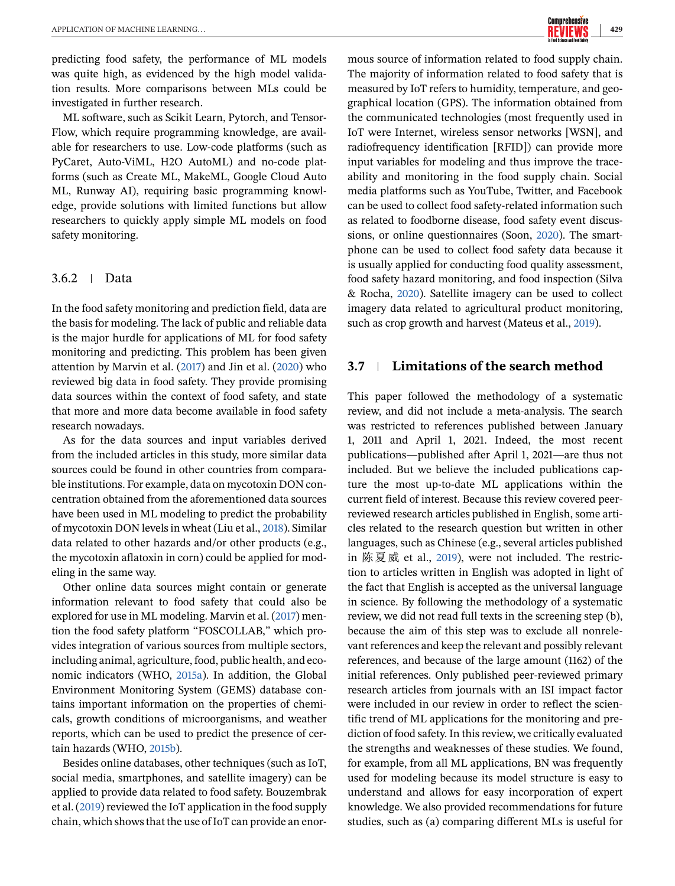predicting food safety, the performance of ML models was quite high, as evidenced by the high model validation results. More comparisons between MLs could be investigated in further research.

ML software, such as Scikit Learn, Pytorch, and Tensor-Flow, which require programming knowledge, are available for researchers to use. Low-code platforms (such as PyCaret, Auto-ViML, H2O AutoML) and no-code platforms (such as Create ML, MakeML, Google Cloud Auto ML, Runway AI), requiring basic programming knowledge, provide solutions with limited functions but allow researchers to quickly apply simple ML models on food safety monitoring.

# 3.6.2 Data

In the food safety monitoring and prediction field, data are the basis for modeling. The lack of public and reliable data is the major hurdle for applications of ML for food safety monitoring and predicting. This problem has been given attention by Marvin et al. [\(2017\)](#page-16-0) and Jin et al. [\(2020\)](#page-15-0) who reviewed big data in food safety. They provide promising data sources within the context of food safety, and state that more and more data become available in food safety research nowadays.

As for the data sources and input variables derived from the included articles in this study, more similar data sources could be found in other countries from comparable institutions. For example, data on mycotoxin DON concentration obtained from the aforementioned data sources have been used in ML modeling to predict the probability of mycotoxin DON levels in wheat (Liu et al., [2018\)](#page-16-0). Similar data related to other hazards and/or other products (e.g., the mycotoxin aflatoxin in corn) could be applied for modeling in the same way.

Other online data sources might contain or generate information relevant to food safety that could also be explored for use in ML modeling. Marvin et al. [\(2017\)](#page-16-0) mention the food safety platform "FOSCOLLAB," which provides integration of various sources from multiple sectors, including animal, agriculture, food, public health, and economic indicators (WHO, [2015a\)](#page-18-0). In addition, the Global Environment Monitoring System (GEMS) database contains important information on the properties of chemicals, growth conditions of microorganisms, and weather reports, which can be used to predict the presence of certain hazards (WHO, [2015b\)](#page-18-0).

Besides online databases, other techniques (such as IoT, social media, smartphones, and satellite imagery) can be applied to provide data related to food safety. Bouzembrak et al. [\(2019\)](#page-15-0) reviewed the IoT application in the food supply chain, which shows that the use of IoT can provide an enormous source of information related to food supply chain. The majority of information related to food safety that is measured by IoT refers to humidity, temperature, and geographical location (GPS). The information obtained from the communicated technologies (most frequently used in IoT were Internet, wireless sensor networks [WSN], and radiofrequency identification [RFID]) can provide more input variables for modeling and thus improve the traceability and monitoring in the food supply chain. Social media platforms such as YouTube, Twitter, and Facebook can be used to collect food safety-related information such as related to foodborne disease, food safety event discussions, or online questionnaires (Soon, [2020\)](#page-17-0). The smartphone can be used to collect food safety data because it is usually applied for conducting food quality assessment, food safety hazard monitoring, and food inspection (Silva & Rocha, [2020\)](#page-17-0). Satellite imagery can be used to collect imagery data related to agricultural product monitoring, such as crop growth and harvest (Mateus et al., [2019\)](#page-16-0).

# **3.7 Limitations of the search method**

This paper followed the methodology of a systematic review, and did not include a meta-analysis. The search was restricted to references published between January 1, 2011 and April 1, 2021. Indeed, the most recent publications—published after April 1, 2021—are thus not included. But we believe the included publications capture the most up-to-date ML applications within the current field of interest. Because this review covered peerreviewed research articles published in English, some articles related to the research question but written in other languages, such as Chinese (e.g., several articles published in 陈夏威 et al., [2019\)](#page-18-0), were not included. The restriction to articles written in English was adopted in light of the fact that English is accepted as the universal language in science. By following the methodology of a systematic review, we did not read full texts in the screening step (b), because the aim of this step was to exclude all nonrelevant references and keep the relevant and possibly relevant references, and because of the large amount (1162) of the initial references. Only published peer-reviewed primary research articles from journals with an ISI impact factor were included in our review in order to reflect the scientific trend of ML applications for the monitoring and prediction of food safety. In this review, we critically evaluated the strengths and weaknesses of these studies. We found, for example, from all ML applications, BN was frequently used for modeling because its model structure is easy to understand and allows for easy incorporation of expert knowledge. We also provided recommendations for future studies, such as (a) comparing different MLs is useful for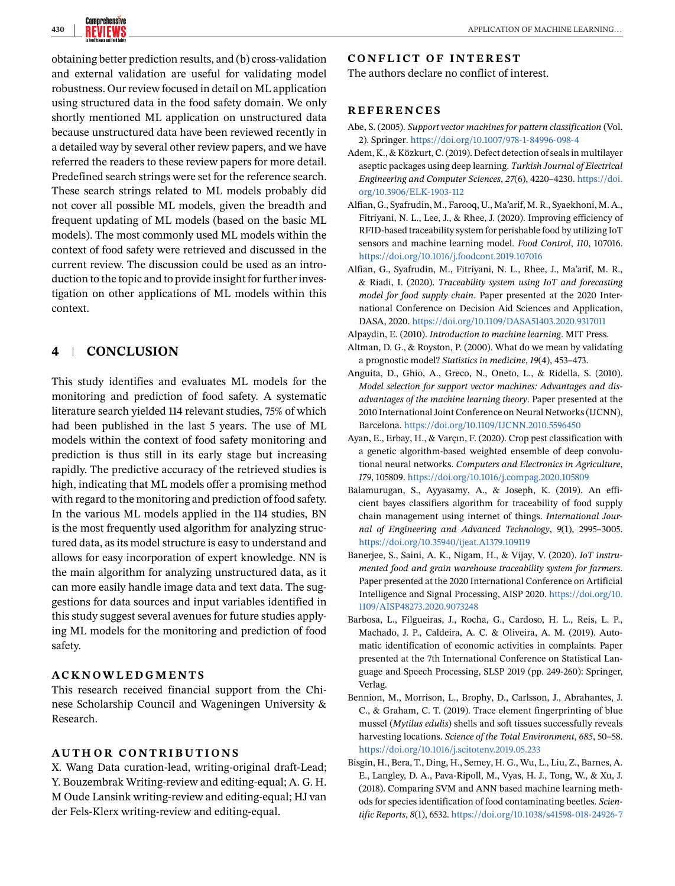<span id="page-14-0"></span>

obtaining better prediction results, and (b) cross-validation and external validation are useful for validating model robustness. Our review focused in detail on ML application using structured data in the food safety domain. We only shortly mentioned ML application on unstructured data because unstructured data have been reviewed recently in a detailed way by several other review papers, and we have referred the readers to these review papers for more detail. Predefined search strings were set for the reference search. These search strings related to ML models probably did not cover all possible ML models, given the breadth and frequent updating of ML models (based on the basic ML models). The most commonly used ML models within the context of food safety were retrieved and discussed in the current review. The discussion could be used as an introduction to the topic and to provide insight for further investigation on other applications of ML models within this context.

# **4 CONCLUSION**

This study identifies and evaluates ML models for the monitoring and prediction of food safety. A systematic literature search yielded 114 relevant studies, 75% of which had been published in the last 5 years. The use of ML models within the context of food safety monitoring and prediction is thus still in its early stage but increasing rapidly. The predictive accuracy of the retrieved studies is high, indicating that ML models offer a promising method with regard to the monitoring and prediction of food safety. In the various ML models applied in the 114 studies, BN is the most frequently used algorithm for analyzing structured data, as its model structure is easy to understand and allows for easy incorporation of expert knowledge. NN is the main algorithm for analyzing unstructured data, as it can more easily handle image data and text data. The suggestions for data sources and input variables identified in this study suggest several avenues for future studies applying ML models for the monitoring and prediction of food safety.

# **ACKNOWLEDGMENTS**

This research received financial support from the Chinese Scholarship Council and Wageningen University & Research.

#### **AUTHOR CONTRIBUTIONS**

X. Wang Data curation-lead, writing-original draft-Lead; Y. Bouzembrak Writing-review and editing-equal; A. G. H. M Oude Lansink writing-review and editing-equal; HJ van der Fels-Klerx writing-review and editing-equal.

# **CONFLICT OF INTEREST**

The authors declare no conflict of interest.

# **REFERENCES**

- Abe, S. (2005). *Support vector machines for pattern classification* (Vol. 2). Springer. <https://doi.org/10.1007/978-1-84996-098-4>
- Adem, K., & Közkurt, C. (2019). Defect detection of seals in multilayer aseptic packages using deep learning. *Turkish Journal of Electrical Engineering and Computer Sciences*, *27*(6), 4220–4230. [https://doi.](https://doi.org/10.3906/ELK-1903-112) [org/10.3906/ELK-1903-112](https://doi.org/10.3906/ELK-1903-112)
- Alfian, G., Syafrudin, M., Farooq, U., Ma'arif, M. R., Syaekhoni, M. A., Fitriyani, N. L., Lee, J., & Rhee, J. (2020). Improving efficiency of RFID-based traceability system for perishable food by utilizing IoT sensors and machine learning model. *Food Control*, *110*, 107016. <https://doi.org/10.1016/j.foodcont.2019.107016>
- Alfian, G., Syafrudin, M., Fitriyani, N. L., Rhee, J., Ma'arif, M. R., & Riadi, I. (2020). *Traceability system using IoT and forecasting model for food supply chain*. Paper presented at the 2020 International Conference on Decision Aid Sciences and Application, DASA, 2020. <https://doi.org/10.1109/DASA51403.2020.9317011>

Alpaydin, E. (2010). *Introduction to machine learning*. MIT Press.

- Altman, D. G., & Royston, P. (2000). What do we mean by validating a prognostic model? *Statistics in medicine*, *19*(4), 453–473.
- Anguita, D., Ghio, A., Greco, N., Oneto, L., & Ridella, S. (2010). *Model selection for support vector machines: Advantages and disadvantages of the machine learning theory*. Paper presented at the 2010 International Joint Conference on Neural Networks (IJCNN), Barcelona. <https://doi.org/10.1109/IJCNN.2010.5596450>
- Ayan, E., Erbay, H., & Varçın, F. (2020). Crop pest classification with a genetic algorithm-based weighted ensemble of deep convolutional neural networks. *Computers and Electronics in Agriculture*, *179*, 105809. <https://doi.org/10.1016/j.compag.2020.105809>
- Balamurugan, S., Ayyasamy, A., & Joseph, K. (2019). An efficient bayes classifiers algorithm for traceability of food supply chain management using internet of things. *International Journal of Engineering and Advanced Technology*, *9*(1), 2995–3005. <https://doi.org/10.35940/ijeat.A1379.109119>
- Banerjee, S., Saini, A. K., Nigam, H., & Vijay, V. (2020). *IoT instrumented food and grain warehouse traceability system for farmers*. Paper presented at the 2020 International Conference on Artificial Intelligence and Signal Processing, AISP 2020. [https://doi.org/10.](https://doi.org/10.1109/AISP48273.2020.9073248) [1109/AISP48273.2020.9073248](https://doi.org/10.1109/AISP48273.2020.9073248)
- Barbosa, L., Filgueiras, J., Rocha, G., Cardoso, H. L., Reis, L. P., Machado, J. P., Caldeira, A. C. & Oliveira, A. M. (2019). Automatic identification of economic activities in complaints. Paper presented at the 7th International Conference on Statistical Language and Speech Processing, SLSP 2019 (pp. 249-260): Springer, Verlag.
- Bennion, M., Morrison, L., Brophy, D., Carlsson, J., Abrahantes, J. C., & Graham, C. T. (2019). Trace element fingerprinting of blue mussel (*Mytilus edulis*) shells and soft tissues successfully reveals harvesting locations. *Science of the Total Environment*, *685*, 50–58. <https://doi.org/10.1016/j.scitotenv.2019.05.233>
- Bisgin, H., Bera, T., Ding, H., Semey, H. G., Wu, L., Liu, Z., Barnes, A. E., Langley, D. A., Pava-Ripoll, M., Vyas, H. J., Tong, W., & Xu, J. (2018). Comparing SVM and ANN based machine learning methods for species identification of food contaminating beetles. *Scientific Reports*, *8*(1), 6532. <https://doi.org/10.1038/s41598-018-24926-7>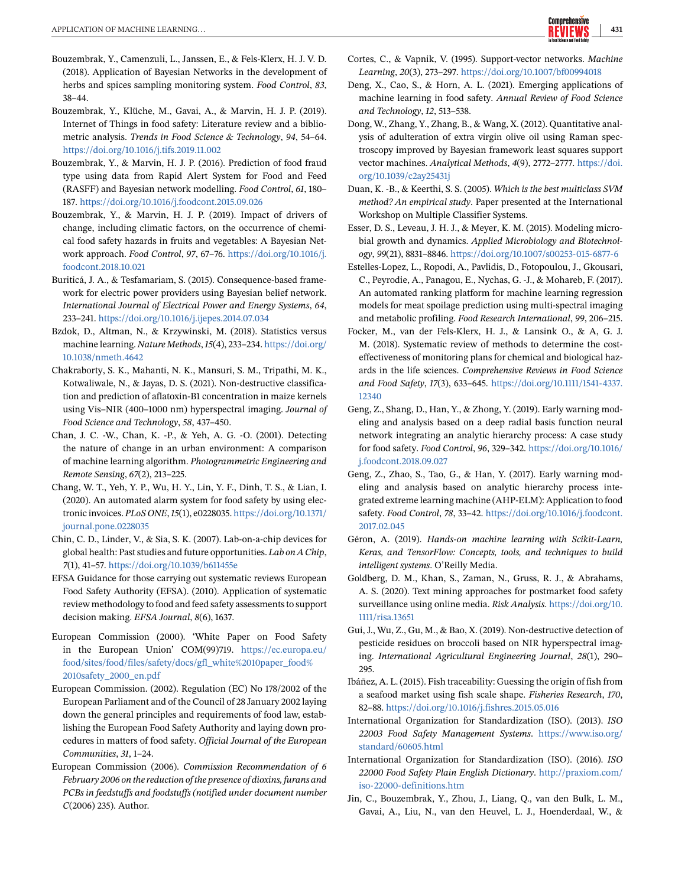- <span id="page-15-0"></span>Bouzembrak, Y., Camenzuli, L., Janssen, E., & Fels-Klerx, H. J. V. D. (2018). Application of Bayesian Networks in the development of herbs and spices sampling monitoring system. *Food Control*, *83*, 38–44.
- Bouzembrak, Y., Klüche, M., Gavai, A., & Marvin, H. J. P. (2019). Internet of Things in food safety: Literature review and a bibliometric analysis. *Trends in Food Science & Technology*, *94*, 54–64. <https://doi.org/10.1016/j.tifs.2019.11.002>
- Bouzembrak, Y., & Marvin, H. J. P. (2016). Prediction of food fraud type using data from Rapid Alert System for Food and Feed (RASFF) and Bayesian network modelling. *Food Control*, *61*, 180– 187. <https://doi.org/10.1016/j.foodcont.2015.09.026>
- Bouzembrak, Y., & Marvin, H. J. P. (2019). Impact of drivers of change, including climatic factors, on the occurrence of chemical food safety hazards in fruits and vegetables: A Bayesian Network approach. *Food Control*, *97*, 67–76. [https://doi.org/10.1016/j.](https://doi.org/10.1016/j.foodcont.2018.10.021) [foodcont.2018.10.021](https://doi.org/10.1016/j.foodcont.2018.10.021)
- Buriticá, J. A., & Tesfamariam, S. (2015). Consequence-based framework for electric power providers using Bayesian belief network. *International Journal of Electrical Power and Energy Systems*, *64*, 233–241. <https://doi.org/10.1016/j.ijepes.2014.07.034>
- Bzdok, D., Altman, N., & Krzywinski, M. (2018). Statistics versus machine learning. *Nature Methods*,*15*(4), 233–234. [https://doi.org/](https://doi.org/10.1038/nmeth.4642) [10.1038/nmeth.4642](https://doi.org/10.1038/nmeth.4642)
- Chakraborty, S. K., Mahanti, N. K., Mansuri, S. M., Tripathi, M. K., Kotwaliwale, N., & Jayas, D. S. (2021). Non-destructive classification and prediction of aflatoxin-B1 concentration in maize kernels using Vis–NIR (400–1000 nm) hyperspectral imaging. *Journal of Food Science and Technology*, *58*, 437–450.
- Chan, J. C. -W., Chan, K. -P., & Yeh, A. G. -O. (2001). Detecting the nature of change in an urban environment: A comparison of machine learning algorithm. *Photogrammetric Engineering and Remote Sensing*, *67*(2), 213–225.
- Chang, W. T., Yeh, Y. P., Wu, H. Y., Lin, Y. F., Dinh, T. S., & Lian, I. (2020). An automated alarm system for food safety by using electronic invoices. *PLoS ONE*,*15*(1), e0228035. [https://doi.org/10.1371/](https://doi.org/10.1371/journal.pone.0228035) [journal.pone.0228035](https://doi.org/10.1371/journal.pone.0228035)
- Chin, C. D., Linder, V., & Sia, S. K. (2007). Lab-on-a-chip devices for global health: Past studies and future opportunities. *Lab on A Chip*, *7*(1), 41–57. <https://doi.org/10.1039/b611455e>
- EFSA Guidance for those carrying out systematic reviews European Food Safety Authority (EFSA). (2010). Application of systematic review methodology to food and feed safety assessments to support decision making. *EFSA Journal*, *8*(6), 1637.
- European Commission (2000). 'White Paper on Food Safety in the European Union' COM(99)719. [https://ec.europa.eu/](https://ec.europa.eu/food/sites/food/files/safety/docs/gfl_white%2010paper_food%2010safety_2000_en.pdf) [food/sites/food/files/safety/docs/gfl\\_white%2010paper\\_food%](https://ec.europa.eu/food/sites/food/files/safety/docs/gfl_white%2010paper_food%2010safety_2000_en.pdf) [2010safety\\_2000\\_en.pdf](https://ec.europa.eu/food/sites/food/files/safety/docs/gfl_white%2010paper_food%2010safety_2000_en.pdf)
- European Commission. (2002). Regulation (EC) No 178/2002 of the European Parliament and of the Council of 28 January 2002 laying down the general principles and requirements of food law, establishing the European Food Safety Authority and laying down procedures in matters of food safety. *Official Journal of the European Communities*, *31*, 1–24.
- European Commission (2006). *Commission Recommendation of 6 February 2006 on the reduction of the presence of dioxins, furans and PCBs in feedstuffs and foodstuffs (notified under document number C*(2006) 235). Author.
- Cortes, C., & Vapnik, V. (1995). Support-vector networks. *Machine Learning*, *20*(3), 273–297. <https://doi.org/10.1007/bf00994018>
- Deng, X., Cao, S., & Horn, A. L. (2021). Emerging applications of machine learning in food safety. *Annual Review of Food Science and Technology*, *12*, 513–538.
- Dong, W., Zhang, Y., Zhang, B., & Wang, X. (2012). Quantitative analysis of adulteration of extra virgin olive oil using Raman spectroscopy improved by Bayesian framework least squares support vector machines. *Analytical Methods*, *4*(9), 2772–2777. [https://doi.](https://doi.org/10.1039/c2ay25431j) [org/10.1039/c2ay25431j](https://doi.org/10.1039/c2ay25431j)
- Duan, K. -B., & Keerthi, S. S. (2005). *Which is the best multiclass SVM method? An empirical study*. Paper presented at the International Workshop on Multiple Classifier Systems.
- Esser, D. S., Leveau, J. H. J., & Meyer, K. M. (2015). Modeling microbial growth and dynamics. *Applied Microbiology and Biotechnology*, *99*(21), 8831–8846. <https://doi.org/10.1007/s00253-015-6877-6>
- Estelles-Lopez, L., Ropodi, A., Pavlidis, D., Fotopoulou, J., Gkousari, C., Peyrodie, A., Panagou, E., Nychas, G. -J., & Mohareb, F. (2017). An automated ranking platform for machine learning regression models for meat spoilage prediction using multi-spectral imaging and metabolic profiling. *Food Research International*, *99*, 206–215.
- Focker, M., van der Fels-Klerx, H. J., & Lansink O., & A, G. J. M. (2018). Systematic review of methods to determine the costeffectiveness of monitoring plans for chemical and biological hazards in the life sciences. *Comprehensive Reviews in Food Science and Food Safety*, *17*(3), 633–645. [https://doi.org/10.1111/1541-4337.](https://doi.org/10.1111/1541-4337.12340) [12340](https://doi.org/10.1111/1541-4337.12340)
- Geng, Z., Shang, D., Han, Y., & Zhong, Y. (2019). Early warning modeling and analysis based on a deep radial basis function neural network integrating an analytic hierarchy process: A case study for food safety. *Food Control*, *96*, 329–342. [https://doi.org/10.1016/](https://doi.org/10.1016/j.foodcont.2018.09.027) [j.foodcont.2018.09.027](https://doi.org/10.1016/j.foodcont.2018.09.027)
- Geng, Z., Zhao, S., Tao, G., & Han, Y. (2017). Early warning modeling and analysis based on analytic hierarchy process integrated extreme learning machine (AHP-ELM): Application to food safety. *Food Control*, *78*, 33–42. [https://doi.org/10.1016/j.foodcont.](https://doi.org/10.1016/j.foodcont.2017.02.045) [2017.02.045](https://doi.org/10.1016/j.foodcont.2017.02.045)
- Géron, A. (2019). *Hands-on machine learning with Scikit-Learn, Keras, and TensorFlow: Concepts, tools, and techniques to build intelligent systems*. O'Reilly Media.
- Goldberg, D. M., Khan, S., Zaman, N., Gruss, R. J., & Abrahams, A. S. (2020). Text mining approaches for postmarket food safety surveillance using online media. *Risk Analysis*. [https://doi.org/10.](https://doi.org/10.1111/risa.13651) [1111/risa.13651](https://doi.org/10.1111/risa.13651)
- Gui, J., Wu, Z., Gu, M., & Bao, X. (2019). Non-destructive detection of pesticide residues on broccoli based on NIR hyperspectral imaging. *International Agricultural Engineering Journal*, *28*(1), 290– 295.
- Ibáñez, A. L. (2015). Fish traceability: Guessing the origin of fish from a seafood market using fish scale shape. *Fisheries Research*, *170*, 82–88. <https://doi.org/10.1016/j.fishres.2015.05.016>
- International Organization for Standardization (ISO). (2013). *ISO 22003 Food Safety Management Systems*. [https://www.iso.org/](https://www.iso.org/standard/60605.html) [standard/60605.html](https://www.iso.org/standard/60605.html)
- International Organization for Standardization (ISO). (2016). *ISO 22000 Food Safety Plain English Dictionary*. [http://praxiom.com/](http://praxiom.com/iso-22000-definitions.htm) [iso-22000-definitions.htm](http://praxiom.com/iso-22000-definitions.htm)
- Jin, C., Bouzembrak, Y., Zhou, J., Liang, Q., van den Bulk, L. M., Gavai, A., Liu, N., van den Heuvel, L. J., Hoenderdaal, W., &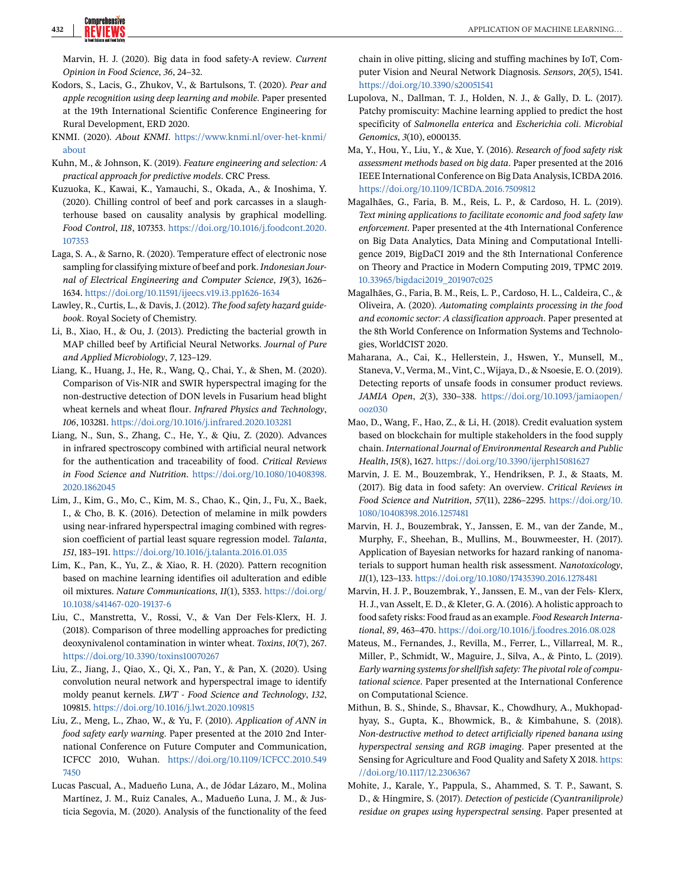<span id="page-16-0"></span>Marvin, H. J. (2020). Big data in food safety-A review. *Current Opinion in Food Science*, *36*, 24–32.

- Kodors, S., Lacis, G., Zhukov, V., & Bartulsons, T. (2020). *Pear and apple recognition using deep learning and mobile*. Paper presented at the 19th International Scientific Conference Engineering for Rural Development, ERD 2020.
- KNMI. (2020). *About KNMI*. [https://www.knmi.nl/over-het-knmi/](https://www.knmi.nl/over-het-knmi/about) [about](https://www.knmi.nl/over-het-knmi/about)
- Kuhn, M., & Johnson, K. (2019). *Feature engineering and selection: A practical approach for predictive models*. CRC Press.
- Kuzuoka, K., Kawai, K., Yamauchi, S., Okada, A., & Inoshima, Y. (2020). Chilling control of beef and pork carcasses in a slaughterhouse based on causality analysis by graphical modelling. *Food Control*, *118*, 107353. [https://doi.org/10.1016/j.foodcont.2020.](https://doi.org/10.1016/j.foodcont.2020.107353) [107353](https://doi.org/10.1016/j.foodcont.2020.107353)
- Laga, S. A., & Sarno, R. (2020). Temperature effect of electronic nose sampling for classifying mixture of beef and pork.*Indonesian Journal of Electrical Engineering and Computer Science*, *19*(3), 1626– 1634. <https://doi.org/10.11591/ijeecs.v19.i3.pp1626-1634>
- Lawley, R., Curtis, L., & Davis, J. (2012). *The food safety hazard guidebook*. Royal Society of Chemistry.
- Li, B., Xiao, H., & Ou, J. (2013). Predicting the bacterial growth in MAP chilled beef by Artificial Neural Networks. *Journal of Pure and Applied Microbiology*, *7*, 123–129.
- Liang, K., Huang, J., He, R., Wang, Q., Chai, Y., & Shen, M. (2020). Comparison of Vis-NIR and SWIR hyperspectral imaging for the non-destructive detection of DON levels in Fusarium head blight wheat kernels and wheat flour. *Infrared Physics and Technology*, *106*, 103281. <https://doi.org/10.1016/j.infrared.2020.103281>
- Liang, N., Sun, S., Zhang, C., He, Y., & Qiu, Z. (2020). Advances in infrared spectroscopy combined with artificial neural network for the authentication and traceability of food. *Critical Reviews in Food Science and Nutrition*. [https://doi.org/10.1080/10408398.](https://doi.org/10.1080/10408398.2020.1862045) [2020.1862045](https://doi.org/10.1080/10408398.2020.1862045)
- Lim, J., Kim, G., Mo, C., Kim, M. S., Chao, K., Qin, J., Fu, X., Baek, I., & Cho, B. K. (2016). Detection of melamine in milk powders using near-infrared hyperspectral imaging combined with regression coefficient of partial least square regression model. *Talanta*, *151*, 183–191. <https://doi.org/10.1016/j.talanta.2016.01.035>
- Lim, K., Pan, K., Yu, Z., & Xiao, R. H. (2020). Pattern recognition based on machine learning identifies oil adulteration and edible oil mixtures. *Nature Communications*, *11*(1), 5353. [https://doi.org/](https://doi.org/10.1038/s41467-020-19137-6) [10.1038/s41467-020-19137-6](https://doi.org/10.1038/s41467-020-19137-6)
- Liu, C., Manstretta, V., Rossi, V., & Van Der Fels-Klerx, H. J. (2018). Comparison of three modelling approaches for predicting deoxynivalenol contamination in winter wheat. *Toxins*, *10*(7), 267. <https://doi.org/10.3390/toxins10070267>
- Liu, Z., Jiang, J., Qiao, X., Qi, X., Pan, Y., & Pan, X. (2020). Using convolution neural network and hyperspectral image to identify moldy peanut kernels. *LWT - Food Science and Technology*, *132*, 109815. <https://doi.org/10.1016/j.lwt.2020.109815>
- Liu, Z., Meng, L., Zhao, W., & Yu, F. (2010). *Application of ANN in food safety early warning*. Paper presented at the 2010 2nd International Conference on Future Computer and Communication, ICFCC 2010, Wuhan. [https://doi.org/10.1109/ICFCC.2010.549](https://doi.org/10.1109/ICFCC.2010.5497450) [7450](https://doi.org/10.1109/ICFCC.2010.5497450)
- Lucas Pascual, A., Madueño Luna, A., de Jódar Lázaro, M., Molina Martínez, J. M., Ruiz Canales, A., Madueño Luna, J. M., & Justicia Segovia, M. (2020). Analysis of the functionality of the feed

chain in olive pitting, slicing and stuffing machines by IoT, Computer Vision and Neural Network Diagnosis. *Sensors*, *20*(5), 1541. <https://doi.org/10.3390/s20051541>

- Lupolova, N., Dallman, T. J., Holden, N. J., & Gally, D. L. (2017). Patchy promiscuity: Machine learning applied to predict the host specificity of *Salmonella enterica* and *Escherichia coli*. *Microbial Genomics*, *3*(10), e000135.
- Ma, Y., Hou, Y., Liu, Y., & Xue, Y. (2016). *Research of food safety risk assessment methods based on big data*. Paper presented at the 2016 IEEE International Conference on Big Data Analysis, ICBDA 2016. <https://doi.org/10.1109/ICBDA.2016.7509812>
- Magalhães, G., Faria, B. M., Reis, L. P., & Cardoso, H. L. (2019). *Text mining applications to facilitate economic and food safety law enforcement*. Paper presented at the 4th International Conference on Big Data Analytics, Data Mining and Computational Intelligence 2019, BigDaCI 2019 and the 8th International Conference on Theory and Practice in Modern Computing 2019, TPMC 2019. [10.33965/bigdaci2019\\_201907c025](http://10.33965/bigdaci2019_201907c025)
- Magalhães, G., Faria, B. M., Reis, L. P., Cardoso, H. L., Caldeira, C., & Oliveira, A. (2020). *Automating complaints processing in the food and economic sector: A classification approach*. Paper presented at the 8th World Conference on Information Systems and Technologies, WorldCIST 2020.
- Maharana, A., Cai, K., Hellerstein, J., Hswen, Y., Munsell, M., Staneva, V., Verma, M., Vint, C., Wijaya, D., & Nsoesie, E. O. (2019). Detecting reports of unsafe foods in consumer product reviews. *JAMIA Open*, *2*(3), 330–338. [https://doi.org/10.1093/jamiaopen/](https://doi.org/10.1093/jamiaopen/ooz030) [ooz030](https://doi.org/10.1093/jamiaopen/ooz030)
- Mao, D., Wang, F., Hao, Z., & Li, H. (2018). Credit evaluation system based on blockchain for multiple stakeholders in the food supply chain. *International Journal of Environmental Research and Public Health*, *15*(8), 1627. <https://doi.org/10.3390/ijerph15081627>
- Marvin, J. E. M., Bouzembrak, Y., Hendriksen, P. J., & Staats, M. (2017). Big data in food safety: An overview. *Critical Reviews in Food Science and Nutrition*, *57*(11), 2286–2295. [https://doi.org/10.](https://doi.org/10.1080/10408398.2016.1257481) [1080/10408398.2016.1257481](https://doi.org/10.1080/10408398.2016.1257481)
- Marvin, H. J., Bouzembrak, Y., Janssen, E. M., van der Zande, M., Murphy, F., Sheehan, B., Mullins, M., Bouwmeester, H. (2017). Application of Bayesian networks for hazard ranking of nanomaterials to support human health risk assessment. *Nanotoxicology*, *11*(1), 123–133. <https://doi.org/10.1080/17435390.2016.1278481>
- Marvin, H. J. P., Bouzembrak, Y., Janssen, E. M., van der Fels- Klerx, H. J., van Asselt, E. D., & Kleter, G. A. (2016). A holistic approach to food safety risks: Food fraud as an example. *Food Research International*, *89*, 463–470. <https://doi.org/10.1016/j.foodres.2016.08.028>
- Mateus, M., Fernandes, J., Revilla, M., Ferrer, L., Villarreal, M. R., Miller, P., Schmidt, W., Maguire, J., Silva, A., & Pinto, L. (2019). *Early warning systems for shellfish safety: The pivotal role of computational science*. Paper presented at the International Conference on Computational Science.
- Mithun, B. S., Shinde, S., Bhavsar, K., Chowdhury, A., Mukhopadhyay, S., Gupta, K., Bhowmick, B., & Kimbahune, S. (2018). *Non-destructive method to detect artificially ripened banana using hyperspectral sensing and RGB imaging*. Paper presented at the Sensing for Agriculture and Food Quality and Safety X 2018. [https:](https://doi.org/10.1117/12.2306367) [//doi.org/10.1117/12.2306367](https://doi.org/10.1117/12.2306367)
- Mohite, J., Karale, Y., Pappula, S., Ahammed, S. T. P., Sawant, S. D., & Hingmire, S. (2017). *Detection of pesticide (Cyantraniliprole) residue on grapes using hyperspectral sensing*. Paper presented at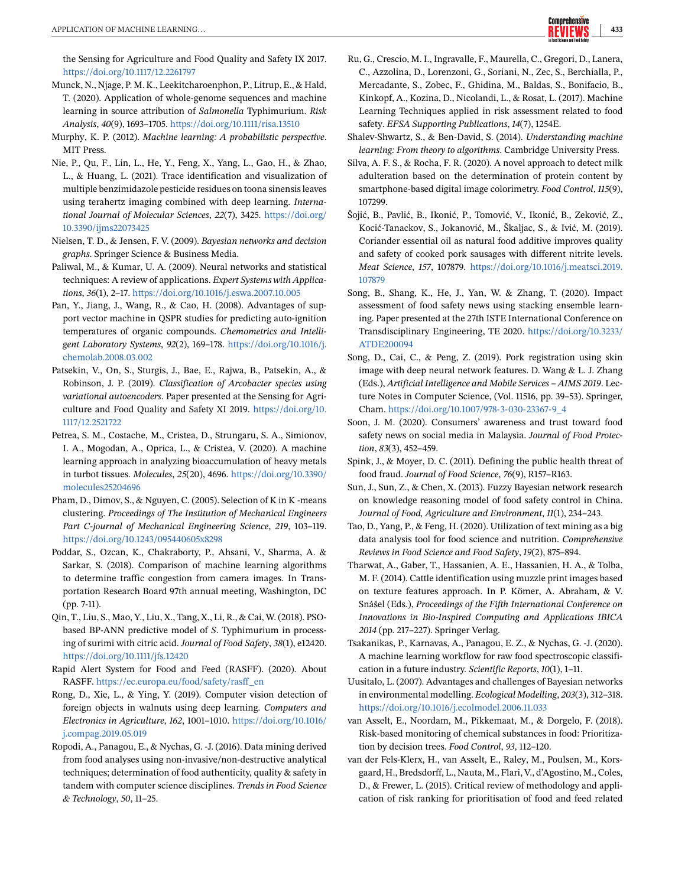<span id="page-17-0"></span>the Sensing for Agriculture and Food Quality and Safety IX 2017. <https://doi.org/10.1117/12.2261797>

- Munck, N., Njage, P. M. K., Leekitcharoenphon, P., Litrup, E., & Hald, T. (2020). Application of whole-genome sequences and machine learning in source attribution of *Salmonella* Typhimurium. *Risk Analysis*, *40*(9), 1693–1705. <https://doi.org/10.1111/risa.13510>
- Murphy, K. P. (2012). *Machine learning: A probabilistic perspective*. MIT Press.
- Nie, P., Qu, F., Lin, L., He, Y., Feng, X., Yang, L., Gao, H., & Zhao, L., & Huang, L. (2021). Trace identification and visualization of multiple benzimidazole pesticide residues on toona sinensis leaves using terahertz imaging combined with deep learning. *International Journal of Molecular Sciences*, *22*(7), 3425. [https://doi.org/](https://doi.org/10.3390/ijms22073425) [10.3390/ijms22073425](https://doi.org/10.3390/ijms22073425)
- Nielsen, T. D., & Jensen, F. V. (2009). *Bayesian networks and decision graphs*. Springer Science & Business Media.
- Paliwal, M., & Kumar, U. A. (2009). Neural networks and statistical techniques: A review of applications. *Expert Systems with Applications*, *36*(1), 2–17. <https://doi.org/10.1016/j.eswa.2007.10.005>
- Pan, Y., Jiang, J., Wang, R., & Cao, H. (2008). Advantages of support vector machine in QSPR studies for predicting auto-ignition temperatures of organic compounds. *Chemometrics and Intelligent Laboratory Systems*, *92*(2), 169–178. [https://doi.org/10.1016/j.](https://doi.org/10.1016/j.chemolab.2008.03.002) [chemolab.2008.03.002](https://doi.org/10.1016/j.chemolab.2008.03.002)
- Patsekin, V., On, S., Sturgis, J., Bae, E., Rajwa, B., Patsekin, A., & Robinson, J. P. (2019). *Classification of Arcobacter species using variational autoencoders*. Paper presented at the Sensing for Agriculture and Food Quality and Safety XI 2019. [https://doi.org/10.](https://doi.org/10.1117/12.2521722) [1117/12.2521722](https://doi.org/10.1117/12.2521722)
- Petrea, S. M., Costache, M., Cristea, D., Strungaru, S. A., Simionov, I. A., Mogodan, A., Oprica, L., & Cristea, V. (2020). A machine learning approach in analyzing bioaccumulation of heavy metals in turbot tissues. *Molecules*, *25*(20), 4696. [https://doi.org/10.3390/](https://doi.org/10.3390/molecules25204696) [molecules25204696](https://doi.org/10.3390/molecules25204696)
- Pham, D., Dimov, S., & Nguyen, C. (2005). Selection of K in K -means clustering. *Proceedings of The Institution of Mechanical Engineers Part C-journal of Mechanical Engineering Science*, *219*, 103–119. <https://doi.org/10.1243/095440605x8298>
- Poddar, S., Ozcan, K., Chakraborty, P., Ahsani, V., Sharma, A. & Sarkar, S. (2018). Comparison of machine learning algorithms to determine traffic congestion from camera images. In Transportation Research Board 97th annual meeting, Washington, DC (pp. 7-11).
- Qin, T., Liu, S., Mao, Y., Liu, X., Tang, X., Li, R., & Cai, W. (2018). PSObased BP-ANN predictive model of *S*. Typhimurium in processing of surimi with citric acid. *Journal of Food Safety*, *38*(1), e12420. <https://doi.org/10.1111/jfs.12420>
- Rapid Alert System for Food and Feed (RASFF). (2020). About RASFF. [https://ec.europa.eu/food/safety/rasff\\_en](https://ec.europa.eu/food/safety/rasff_en)
- Rong, D., Xie, L., & Ying, Y. (2019). Computer vision detection of foreign objects in walnuts using deep learning. *Computers and Electronics in Agriculture*, *162*, 1001–1010. [https://doi.org/10.1016/](https://doi.org/10.1016/j.compag.2019.05.019) [j.compag.2019.05.019](https://doi.org/10.1016/j.compag.2019.05.019)
- Ropodi, A., Panagou, E., & Nychas, G. -J. (2016). Data mining derived from food analyses using non-invasive/non-destructive analytical techniques; determination of food authenticity, quality & safety in tandem with computer science disciplines. *Trends in Food Science & Technology*, *50*, 11–25.
- Ru, G., Crescio, M. I., Ingravalle, F., Maurella, C., Gregori, D., Lanera, C., Azzolina, D., Lorenzoni, G., Soriani, N., Zec, S., Berchialla, P., Mercadante, S., Zobec, F., Ghidina, M., Baldas, S., Bonifacio, B., Kinkopf, A., Kozina, D., Nicolandi, L., & Rosat, L. (2017). Machine Learning Techniques applied in risk assessment related to food safety. *EFSA Supporting Publications*, *14*(7), 1254E.
- Shalev-Shwartz, S., & Ben-David, S. (2014). *Understanding machine learning: From theory to algorithms*. Cambridge University Press.
- Silva, A. F. S., & Rocha, F. R. (2020). A novel approach to detect milk adulteration based on the determination of protein content by smartphone-based digital image colorimetry. *Food Control*, *115*(9), 107299.
- Šojić, B., Pavlić, B., Ikonić, P., Tomović, V., Ikonić, B., Zeković, Z., Kocić-Tanackov, S., Jokanović, M., Škaljac, S., & Ivić, M. (2019). Coriander essential oil as natural food additive improves quality and safety of cooked pork sausages with different nitrite levels. *Meat Science*, *157*, 107879. [https://doi.org/10.1016/j.meatsci.2019.](https://doi.org/10.1016/j.meatsci.2019.107879) [107879](https://doi.org/10.1016/j.meatsci.2019.107879)
- Song, B., Shang, K., He, J., Yan, W. & Zhang, T. (2020). Impact assessment of food safety news using stacking ensemble learning. Paper presented at the 27th ISTE International Conference on Transdisciplinary Engineering, TE 2020. [https://doi.org/10.3233/](https://doi.org/10.3233/ATDE200094) [ATDE200094](https://doi.org/10.3233/ATDE200094)
- Song, D., Cai, C., & Peng, Z. (2019). Pork registration using skin image with deep neural network features. D. Wang & L. J. Zhang (Eds.), *Artificial Intelligence and Mobile Services – AIMS 2019*. Lecture Notes in Computer Science, (Vol. 11516, pp. 39–53). Springer, Cham. [https://doi.org/10.1007/978-3-030-23367-9\\_4](https://doi.org/10.1007/978-3-030-23367-9_4)
- Soon, J. M. (2020). Consumers' awareness and trust toward food safety news on social media in Malaysia. *Journal of Food Protection*, *83*(3), 452–459.
- Spink, J., & Moyer, D. C. (2011). Defining the public health threat of food fraud. *Journal of Food Science*, *76*(9), R157–R163.
- Sun, J., Sun, Z., & Chen, X. (2013). Fuzzy Bayesian network research on knowledge reasoning model of food safety control in China. *Journal of Food, Agriculture and Environment*, *11*(1), 234–243.
- Tao, D., Yang, P., & Feng, H. (2020). Utilization of text mining as a big data analysis tool for food science and nutrition. *Comprehensive Reviews in Food Science and Food Safety*, *19*(2), 875–894.
- Tharwat, A., Gaber, T., Hassanien, A. E., Hassanien, H. A., & Tolba, M. F. (2014). Cattle identification using muzzle print images based on texture features approach. In P. Kömer, A. Abraham, & V. Snášel (Eds.), *Proceedings of the Fifth International Conference on Innovations in Bio-Inspired Computing and Applications IBICA 2014* (pp. 217–227). Springer Verlag.
- Tsakanikas, P., Karnavas, A., Panagou, E. Z., & Nychas, G. -J. (2020). A machine learning workflow for raw food spectroscopic classification in a future industry. *Scientific Reports*, *10*(1), 1–11.
- Uusitalo, L. (2007). Advantages and challenges of Bayesian networks in environmental modelling. *Ecological Modelling*, *203*(3), 312–318. <https://doi.org/10.1016/j.ecolmodel.2006.11.033>
- van Asselt, E., Noordam, M., Pikkemaat, M., & Dorgelo, F. (2018). Risk-based monitoring of chemical substances in food: Prioritization by decision trees. *Food Control*, *93*, 112–120.
- van der Fels-Klerx, H., van Asselt, E., Raley, M., Poulsen, M., Korsgaard, H., Bredsdorff, L., Nauta, M., Flari, V., d'Agostino, M., Coles, D., & Frewer, L. (2015). Critical review of methodology and application of risk ranking for prioritisation of food and feed related